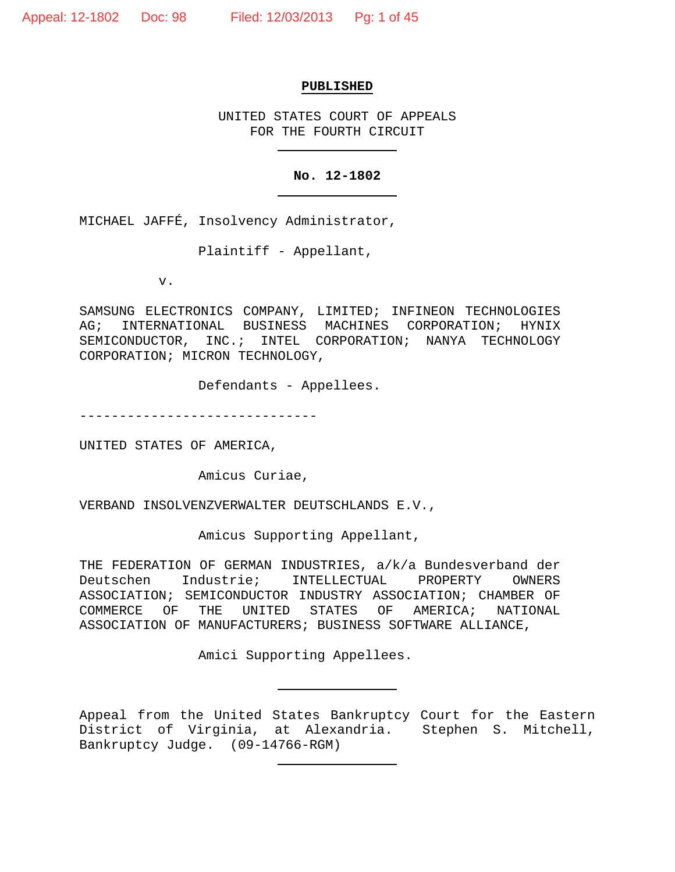#### **PUBLISHED**

UNITED STATES COURT OF APPEALS FOR THE FOURTH CIRCUIT

#### **No. 12-1802**

MICHAEL JAFFÉ, Insolvency Administrator,

Plaintiff - Appellant,

v.

SAMSUNG ELECTRONICS COMPANY, LIMITED; INFINEON TECHNOLOGIES AG; INTERNATIONAL BUSINESS MACHINES CORPORATION; HYNIX SEMICONDUCTOR, INC.; INTEL CORPORATION; NANYA TECHNOLOGY CORPORATION; MICRON TECHNOLOGY,

Defendants - Appellees.

------------------------------

UNITED STATES OF AMERICA,

Amicus Curiae,

VERBAND INSOLVENZVERWALTER DEUTSCHLANDS E.V.,

Amicus Supporting Appellant,

THE FEDERATION OF GERMAN INDUSTRIES, a/k/a Bundesverband der<br>Deutschen Industrie; INTELLECTUAL PROPERTY OWNERS Deutschen Industrie; INTELLECTUAL ASSOCIATION; SEMICONDUCTOR INDUSTRY ASSOCIATION; CHAMBER OF<br>COMMERCE OF THE UNITED STATES OF AMERICA; NATIONAL UNITED STATES OF AMERICA; ASSOCIATION OF MANUFACTURERS; BUSINESS SOFTWARE ALLIANCE,

Amici Supporting Appellees.

Appeal from the United States Bankruptcy Court for the Eastern District of Virginia, at Alexandria. Stephen S. Mitchell, Bankruptcy Judge. (09-14766-RGM)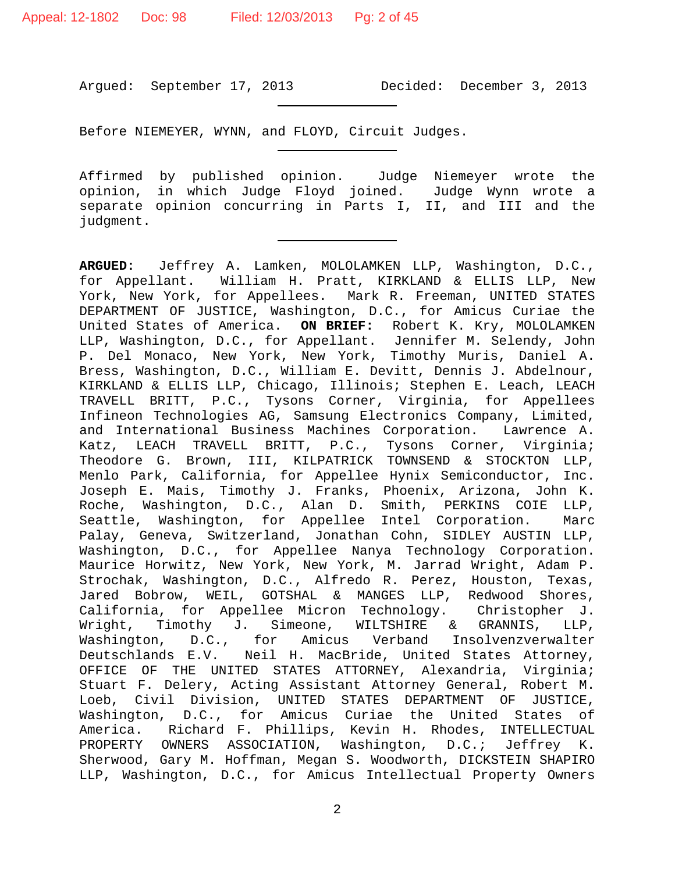Argued: September 17, 2013 Decided: December 3, 2013

Before NIEMEYER, WYNN, and FLOYD, Circuit Judges.

Affirmed by published opinion. Judge Niemeyer wrote the opinion, in which Judge Floyd joined. Judge Wynn wrote a separate opinion concurring in Parts I, II, and III and the judgment.

**ARGUED:** Jeffrey A. Lamken, MOLOLAMKEN LLP, Washington, D.C., for Appellant. William H. Pratt, KIRKLAND & ELLIS LLP, New York, New York, for Appellees. Mark R. Freeman, UNITED STATES DEPARTMENT OF JUSTICE, Washington, D.C., for Amicus Curiae the United States of America. **ON BRIEF:** Robert K. Kry, MOLOLAMKEN LLP, Washington, D.C., for Appellant. Jennifer M. Selendy, John P. Del Monaco, New York, New York, Timothy Muris, Daniel A. Bress, Washington, D.C., William E. Devitt, Dennis J. Abdelnour, KIRKLAND & ELLIS LLP, Chicago, Illinois; Stephen E. Leach, LEACH TRAVELL BRITT, P.C., Tysons Corner, Virginia, for Appellees Infineon Technologies AG, Samsung Electronics Company, Limited, and International Business Machines Corporation. Katz, LEACH TRAVELL BRITT, P.C., Tysons Corner, Virginia; Theodore G. Brown, III, KILPATRICK TOWNSEND & STOCKTON LLP, Menlo Park, California, for Appellee Hynix Semiconductor, Inc. Joseph E. Mais, Timothy J. Franks, Phoenix, Arizona, John K. Roche, Washington, D.C., Alan D. Smith, PERKINS COIE LLP, Seattle, Washington, for Appellee Intel Corporation. Marc Palay, Geneva, Switzerland, Jonathan Cohn, SIDLEY AUSTIN LLP, Washington, D.C., for Appellee Nanya Technology Corporation. Maurice Horwitz, New York, New York, M. Jarrad Wright, Adam P. Strochak, Washington, D.C., Alfredo R. Perez, Houston, Texas, Jared Bobrow, WEIL, GOTSHAL & MANGES LLP, Redwood Shores, California, for Appellee Micron Technology. Christopher J. Wright, Timothy J. Simeone, WILTSHIRE & GRANNIS, LLP,<br>Washington, D.C., for Amicus Verband Insolvenzverwalter Amicus Verband Insolvenzverwalter Deutschlands E.V. Neil H. MacBride, United States Attorney, OFFICE OF THE UNITED STATES ATTORNEY, Alexandria, Virginia; Stuart F. Delery, Acting Assistant Attorney General, Robert M. Loeb, Civil Division, UNITED STATES DEPARTMENT OF JUSTICE, Washington, D.C., for Amicus Curiae the United States of America. Richard F. Phillips, Kevin H. Rhodes, INTELLECTUAL PROPERTY OWNERS ASSOCIATION, Washington, D.C.; Jeffrey K. Sherwood, Gary M. Hoffman, Megan S. Woodworth, DICKSTEIN SHAPIRO LLP, Washington, D.C., for Amicus Intellectual Property Owners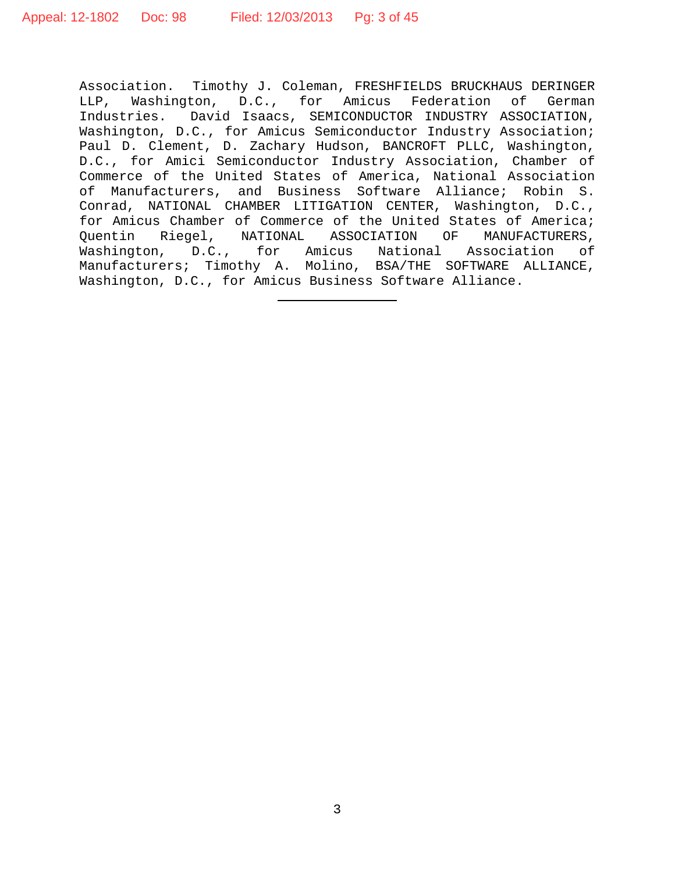Association. Timothy J. Coleman, FRESHFIELDS BRUCKHAUS DERINGER LLP, Washington, D.C., for Amicus Federation of German Industries. David Isaacs, SEMICONDUCTOR INDUSTRY ASSOCIATION, Washington, D.C., for Amicus Semiconductor Industry Association; Paul D. Clement, D. Zachary Hudson, BANCROFT PLLC, Washington, D.C., for Amici Semiconductor Industry Association, Chamber of Commerce of the United States of America, National Association of Manufacturers, and Business Software Alliance; Robin S. Conrad, NATIONAL CHAMBER LITIGATION CENTER, Washington, D.C., for Amicus Chamber of Commerce of the United States of America; Quentin Riegel, NATIONAL ASSOCIATION OF MANUFACTURERS,<br>Washington, D.C., for Amicus National Association of D.C., for Amicus National Association of Manufacturers; Timothy A. Molino, BSA/THE SOFTWARE ALLIANCE, Washington, D.C., for Amicus Business Software Alliance.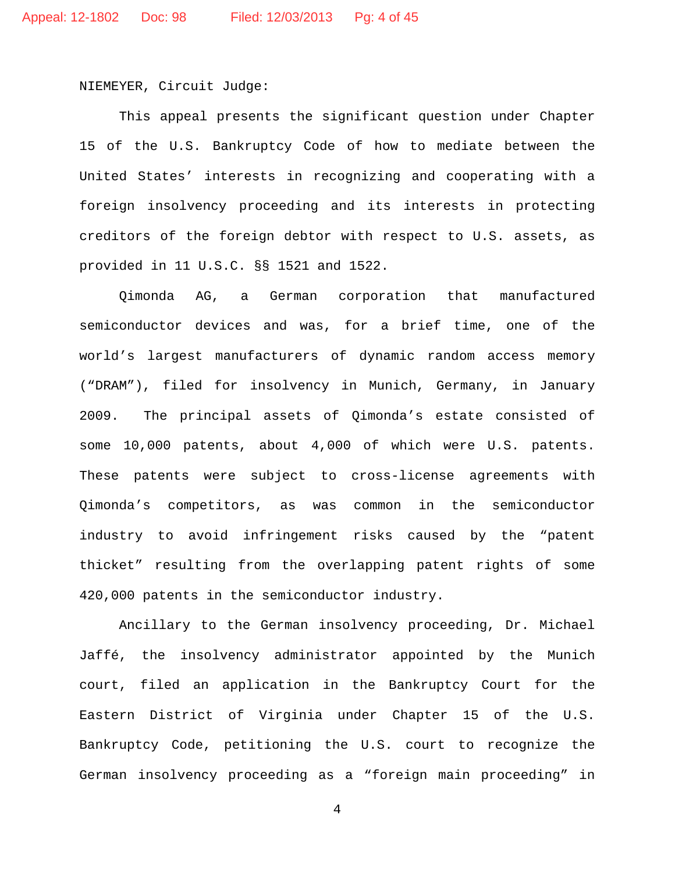NIEMEYER, Circuit Judge:

This appeal presents the significant question under Chapter 15 of the U.S. Bankruptcy Code of how to mediate between the United States' interests in recognizing and cooperating with a foreign insolvency proceeding and its interests in protecting creditors of the foreign debtor with respect to U.S. assets, as provided in 11 U.S.C. §§ 1521 and 1522.

Qimonda AG, a German corporation that manufactured semiconductor devices and was, for a brief time, one of the world's largest manufacturers of dynamic random access memory ("DRAM"), filed for insolvency in Munich, Germany, in January 2009. The principal assets of Qimonda's estate consisted of some 10,000 patents, about 4,000 of which were U.S. patents. These patents were subject to cross-license agreements with Qimonda's competitors, as was common in the semiconductor industry to avoid infringement risks caused by the "patent thicket" resulting from the overlapping patent rights of some 420,000 patents in the semiconductor industry.

Ancillary to the German insolvency proceeding, Dr. Michael Jaffé, the insolvency administrator appointed by the Munich court, filed an application in the Bankruptcy Court for the Eastern District of Virginia under Chapter 15 of the U.S. Bankruptcy Code, petitioning the U.S. court to recognize the German insolvency proceeding as a "foreign main proceeding" in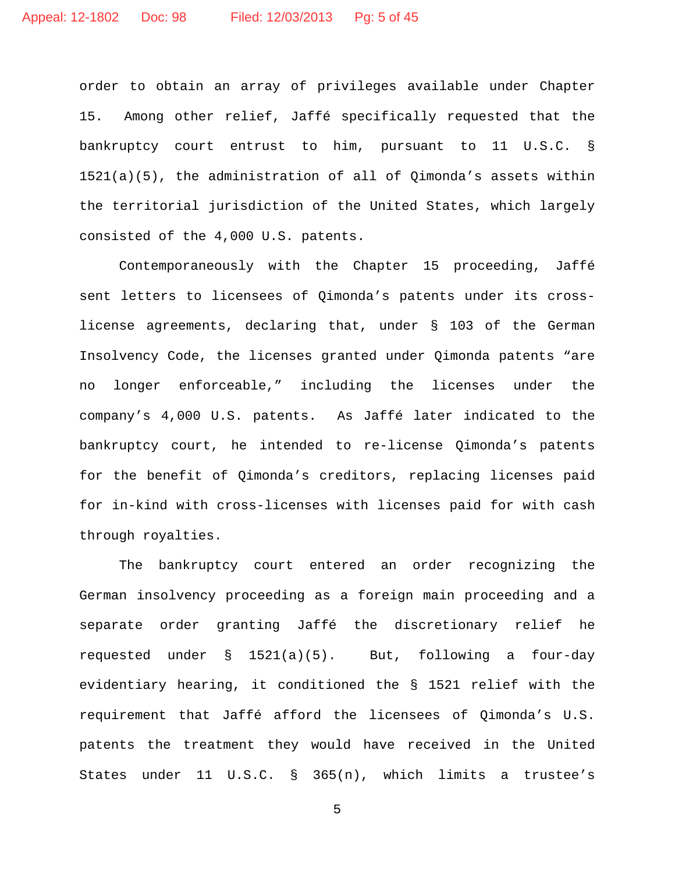order to obtain an array of privileges available under Chapter 15. Among other relief, Jaffé specifically requested that the bankruptcy court entrust to him, pursuant to 11 U.S.C. §  $1521(a)(5)$ , the administration of all of Qimonda's assets within the territorial jurisdiction of the United States, which largely consisted of the 4,000 U.S. patents.

Contemporaneously with the Chapter 15 proceeding, Jaffé sent letters to licensees of Qimonda's patents under its crosslicense agreements, declaring that, under § 103 of the German Insolvency Code, the licenses granted under Qimonda patents "are no longer enforceable," including the licenses under the company's 4,000 U.S. patents. As Jaffé later indicated to the bankruptcy court, he intended to re-license Qimonda's patents for the benefit of Qimonda's creditors, replacing licenses paid for in-kind with cross-licenses with licenses paid for with cash through royalties.

The bankruptcy court entered an order recognizing the German insolvency proceeding as a foreign main proceeding and a separate order granting Jaffé the discretionary relief he requested under  $\S$  1521(a)(5). But, following a four-day evidentiary hearing, it conditioned the § 1521 relief with the requirement that Jaffé afford the licensees of Qimonda's U.S. patents the treatment they would have received in the United States under 11 U.S.C. § 365(n), which limits a trustee's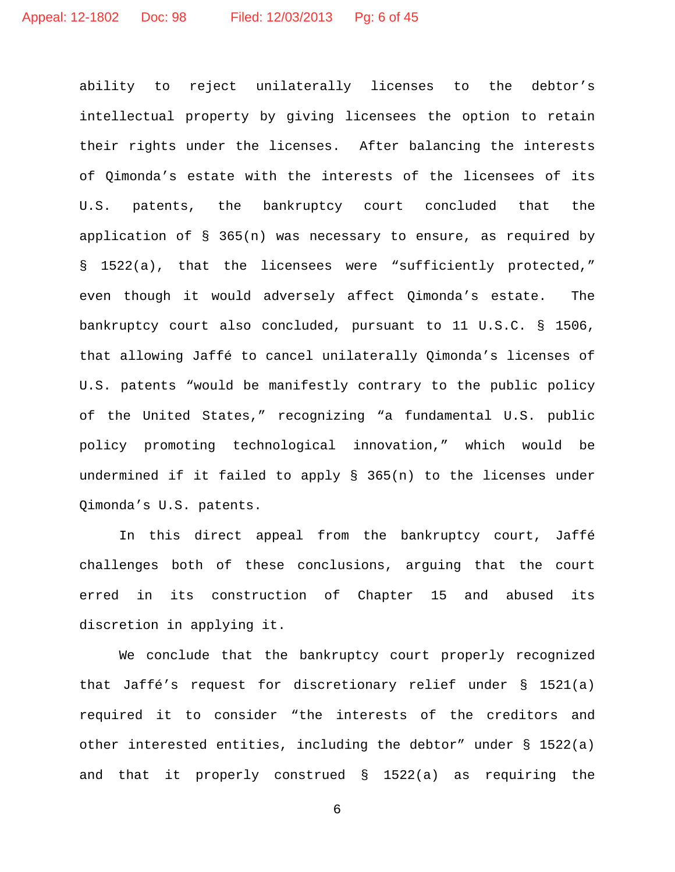ability to reject unilaterally licenses to the debtor's intellectual property by giving licensees the option to retain their rights under the licenses. After balancing the interests of Qimonda's estate with the interests of the licensees of its U.S. patents, the bankruptcy court concluded that the application of § 365(n) was necessary to ensure, as required by § 1522(a), that the licensees were "sufficiently protected," even though it would adversely affect Qimonda's estate. The bankruptcy court also concluded, pursuant to 11 U.S.C. § 1506, that allowing Jaffé to cancel unilaterally Qimonda's licenses of U.S. patents "would be manifestly contrary to the public policy of the United States," recognizing "a fundamental U.S. public policy promoting technological innovation," which would be undermined if it failed to apply § 365(n) to the licenses under Qimonda's U.S. patents.

In this direct appeal from the bankruptcy court, Jaffé challenges both of these conclusions, arguing that the court erred in its construction of Chapter 15 and abused its discretion in applying it.

We conclude that the bankruptcy court properly recognized that Jaffé's request for discretionary relief under § 1521(a) required it to consider "the interests of the creditors and other interested entities, including the debtor" under § 1522(a) and that it properly construed § 1522(a) as requiring the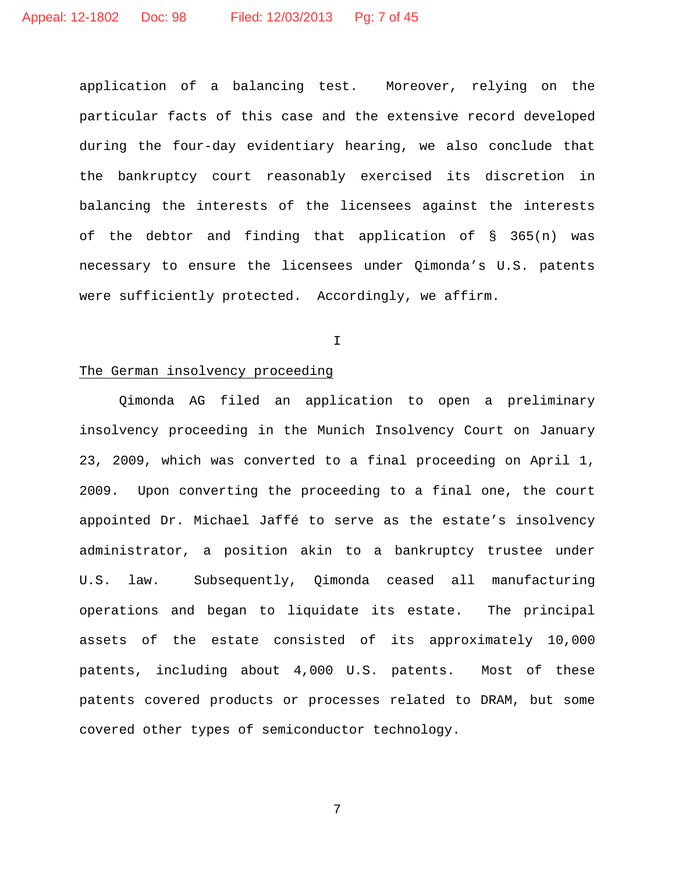application of a balancing test. Moreover, relying on the particular facts of this case and the extensive record developed during the four-day evidentiary hearing, we also conclude that the bankruptcy court reasonably exercised its discretion in balancing the interests of the licensees against the interests of the debtor and finding that application of § 365(n) was necessary to ensure the licensees under Qimonda's U.S. patents were sufficiently protected. Accordingly, we affirm.

I

# The German insolvency proceeding

Qimonda AG filed an application to open a preliminary insolvency proceeding in the Munich Insolvency Court on January 23, 2009, which was converted to a final proceeding on April 1, 2009. Upon converting the proceeding to a final one, the court appointed Dr. Michael Jaffé to serve as the estate's insolvency administrator, a position akin to a bankruptcy trustee under U.S. law. Subsequently, Qimonda ceased all manufacturing operations and began to liquidate its estate. The principal assets of the estate consisted of its approximately 10,000 patents, including about 4,000 U.S. patents. Most of these patents covered products or processes related to DRAM, but some covered other types of semiconductor technology.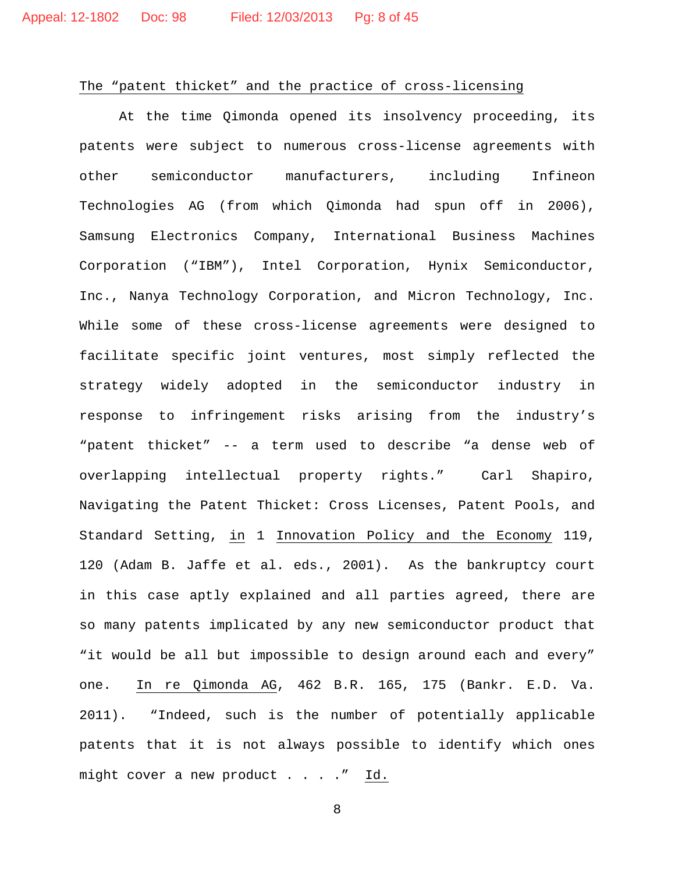# The "patent thicket" and the practice of cross-licensing

At the time Qimonda opened its insolvency proceeding, its patents were subject to numerous cross-license agreements with other semiconductor manufacturers, including Infineon Technologies AG (from which Qimonda had spun off in 2006), Samsung Electronics Company, International Business Machines Corporation ("IBM"), Intel Corporation, Hynix Semiconductor, Inc., Nanya Technology Corporation, and Micron Technology, Inc. While some of these cross-license agreements were designed to facilitate specific joint ventures, most simply reflected the strategy widely adopted in the semiconductor industry in response to infringement risks arising from the industry's "patent thicket" -- a term used to describe "a dense web of overlapping intellectual property rights." Carl Shapiro, Navigating the Patent Thicket: Cross Licenses, Patent Pools, and Standard Setting, in 1 Innovation Policy and the Economy 119, 120 (Adam B. Jaffe et al. eds., 2001). As the bankruptcy court in this case aptly explained and all parties agreed, there are so many patents implicated by any new semiconductor product that "it would be all but impossible to design around each and every" one. In re Qimonda AG, 462 B.R. 165, 175 (Bankr. E.D. Va. 2011). "Indeed, such is the number of potentially applicable patents that it is not always possible to identify which ones might cover a new product . . . ." Id.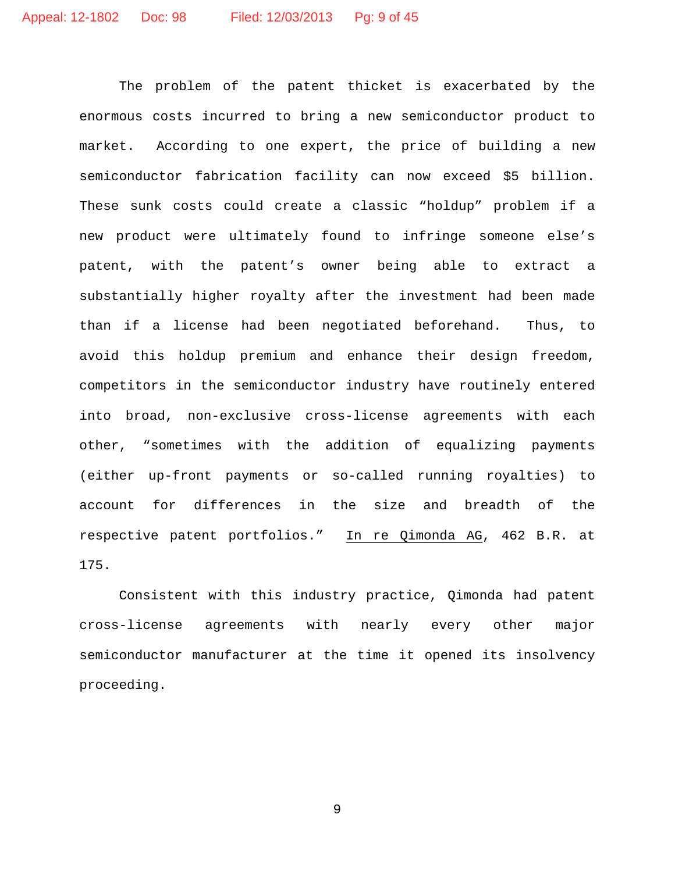The problem of the patent thicket is exacerbated by the enormous costs incurred to bring a new semiconductor product to market. According to one expert, the price of building a new semiconductor fabrication facility can now exceed \$5 billion. These sunk costs could create a classic "holdup" problem if a new product were ultimately found to infringe someone else's patent, with the patent's owner being able to extract a substantially higher royalty after the investment had been made than if a license had been negotiated beforehand. Thus, to avoid this holdup premium and enhance their design freedom, competitors in the semiconductor industry have routinely entered into broad, non-exclusive cross-license agreements with each other, "sometimes with the addition of equalizing payments (either up-front payments or so-called running royalties) to account for differences in the size and breadth of the respective patent portfolios." In re Qimonda AG, 462 B.R. at 175.

Consistent with this industry practice, Qimonda had patent cross-license agreements with nearly every other major semiconductor manufacturer at the time it opened its insolvency proceeding.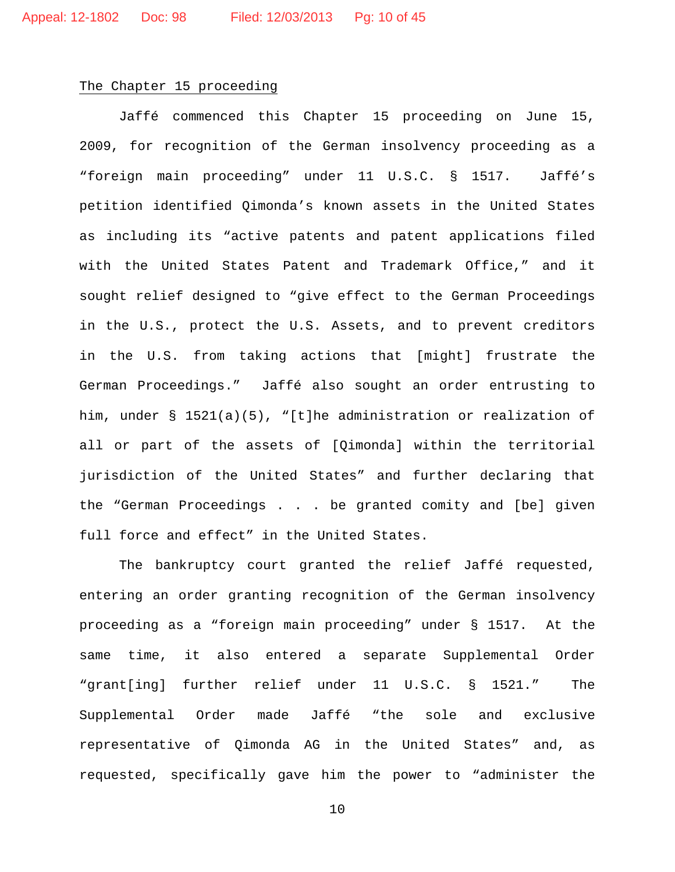### The Chapter 15 proceeding

Jaffé commenced this Chapter 15 proceeding on June 15, 2009, for recognition of the German insolvency proceeding as a "foreign main proceeding" under 11 U.S.C. § 1517. Jaffé's petition identified Qimonda's known assets in the United States as including its "active patents and patent applications filed with the United States Patent and Trademark Office," and it sought relief designed to "give effect to the German Proceedings in the U.S., protect the U.S. Assets, and to prevent creditors in the U.S. from taking actions that [might] frustrate the German Proceedings." Jaffé also sought an order entrusting to him, under § 1521(a)(5), "[t]he administration or realization of all or part of the assets of [Qimonda] within the territorial jurisdiction of the United States" and further declaring that the "German Proceedings . . . be granted comity and [be] given full force and effect" in the United States.

The bankruptcy court granted the relief Jaffé requested, entering an order granting recognition of the German insolvency proceeding as a "foreign main proceeding" under § 1517. At the same time, it also entered a separate Supplemental Order "grant[ing] further relief under 11 U.S.C. § 1521." The Supplemental Order made Jaffé "the sole and exclusive representative of Qimonda AG in the United States" and, as requested, specifically gave him the power to "administer the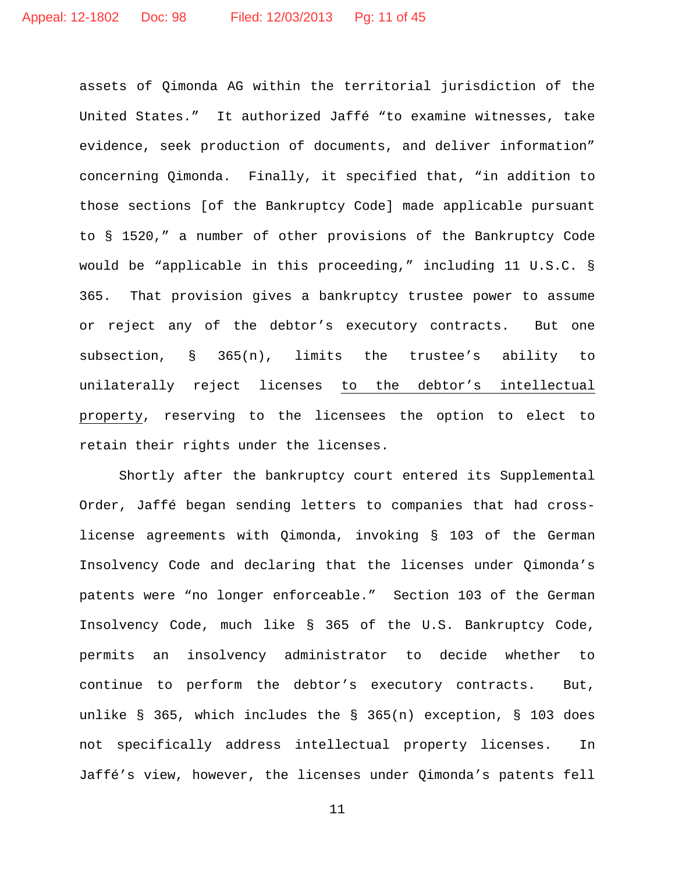assets of Qimonda AG within the territorial jurisdiction of the United States." It authorized Jaffé "to examine witnesses, take evidence, seek production of documents, and deliver information" concerning Qimonda. Finally, it specified that, "in addition to those sections [of the Bankruptcy Code] made applicable pursuant to § 1520," a number of other provisions of the Bankruptcy Code would be "applicable in this proceeding," including 11 U.S.C. § 365. That provision gives a bankruptcy trustee power to assume or reject any of the debtor's executory contracts. But one subsection, § 365(n), limits the trustee's ability to unilaterally reject licenses to the debtor's intellectual property, reserving to the licensees the option to elect to retain their rights under the licenses.

Shortly after the bankruptcy court entered its Supplemental Order, Jaffé began sending letters to companies that had crosslicense agreements with Qimonda, invoking § 103 of the German Insolvency Code and declaring that the licenses under Qimonda's patents were "no longer enforceable." Section 103 of the German Insolvency Code, much like § 365 of the U.S. Bankruptcy Code, permits an insolvency administrator to decide whether to continue to perform the debtor's executory contracts. But, unlike § 365, which includes the § 365(n) exception, § 103 does not specifically address intellectual property licenses. In Jaffé's view, however, the licenses under Qimonda's patents fell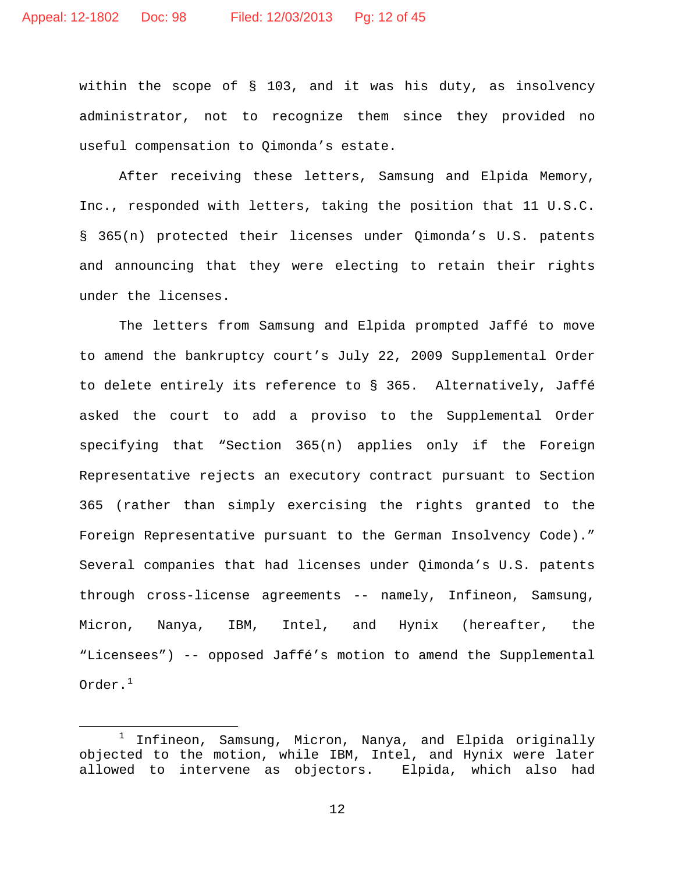within the scope of § 103, and it was his duty, as insolvency administrator, not to recognize them since they provided no useful compensation to Qimonda's estate.

After receiving these letters, Samsung and Elpida Memory, Inc., responded with letters, taking the position that 11 U.S.C. § 365(n) protected their licenses under Qimonda's U.S. patents and announcing that they were electing to retain their rights under the licenses.

The letters from Samsung and Elpida prompted Jaffé to move to amend the bankruptcy court's July 22, 2009 Supplemental Order to delete entirely its reference to § 365. Alternatively, Jaffé asked the court to add a proviso to the Supplemental Order specifying that "Section 365(n) applies only if the Foreign Representative rejects an executory contract pursuant to Section 365 (rather than simply exercising the rights granted to the Foreign Representative pursuant to the German Insolvency Code)." Several companies that had licenses under Qimonda's U.S. patents through cross-license agreements -- namely, Infineon, Samsung, Micron, Nanya, IBM, Intel, and Hynix (hereafter, the "Licensees") -- opposed Jaffé's motion to amend the Supplemental Order. $1$ 

<span id="page-11-0"></span> $1$  Infineon, Samsung, Micron, Nanya, and Elpida originally objected to the motion, while IBM, Intel, and Hynix were later allowed to intervene as objectors. Elpida, which also had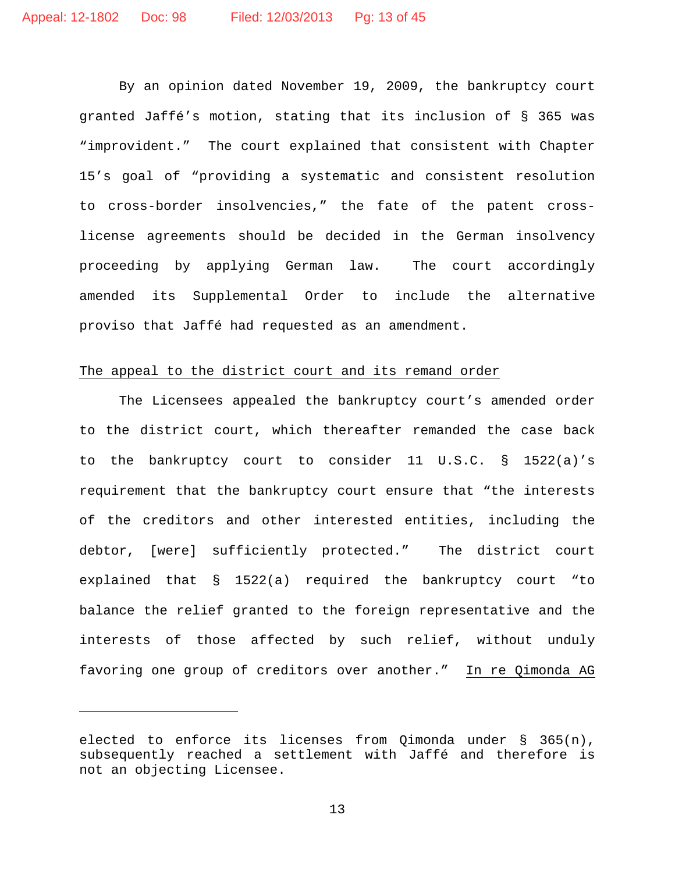By an opinion dated November 19, 2009, the bankruptcy court granted Jaffé's motion, stating that its inclusion of § 365 was "improvident." The court explained that consistent with Chapter 15's goal of "providing a systematic and consistent resolution to cross-border insolvencies," the fate of the patent crosslicense agreements should be decided in the German insolvency proceeding by applying German law. The court accordingly amended its Supplemental Order to include the alternative proviso that Jaffé had requested as an amendment.

# The appeal to the district court and its remand order

The Licensees appealed the bankruptcy court's amended order to the district court, which thereafter remanded the case back to the bankruptcy court to consider 11 U.S.C. § 1522(a)'s requirement that the bankruptcy court ensure that "the interests of the creditors and other interested entities, including the debtor, [were] sufficiently protected." The district court explained that § 1522(a) required the bankruptcy court "to balance the relief granted to the foreign representative and the interests of those affected by such relief, without unduly favoring one group of creditors over another." In re Qimonda AG

Ĩ.

elected to enforce its licenses from Qimonda under § 365(n), subsequently reached a settlement with Jaffé and therefore is not an objecting Licensee.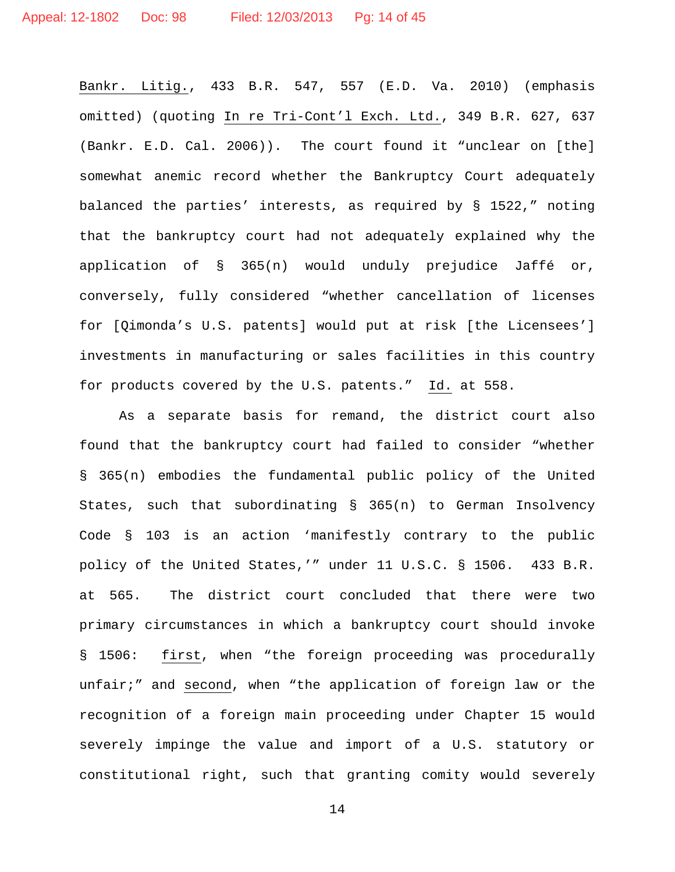Bankr. Litig., 433 B.R. 547, 557 (E.D. Va. 2010) (emphasis omitted) (quoting In re Tri-Cont'l Exch. Ltd., 349 B.R. 627, 637 (Bankr. E.D. Cal. 2006)). The court found it "unclear on [the] somewhat anemic record whether the Bankruptcy Court adequately balanced the parties' interests, as required by § 1522," noting that the bankruptcy court had not adequately explained why the application of § 365(n) would unduly prejudice Jaffé or, conversely, fully considered "whether cancellation of licenses for [Qimonda's U.S. patents] would put at risk [the Licensees'] investments in manufacturing or sales facilities in this country for products covered by the U.S. patents." Id. at 558.

As a separate basis for remand, the district court also found that the bankruptcy court had failed to consider "whether § 365(n) embodies the fundamental public policy of the United States, such that subordinating § 365(n) to German Insolvency Code § 103 is an action 'manifestly contrary to the public policy of the United States,'" under 11 U.S.C. § 1506. 433 B.R. at 565. The district court concluded that there were two primary circumstances in which a bankruptcy court should invoke § 1506: first, when "the foreign proceeding was procedurally unfair;" and second, when "the application of foreign law or the recognition of a foreign main proceeding under Chapter 15 would severely impinge the value and import of a U.S. statutory or constitutional right, such that granting comity would severely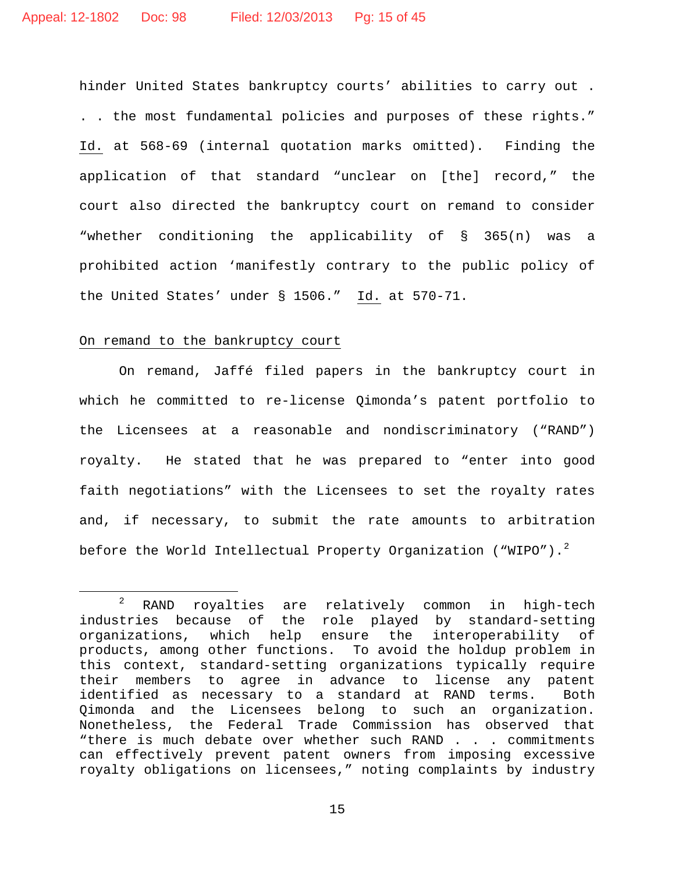hinder United States bankruptcy courts' abilities to carry out . . . the most fundamental policies and purposes of these rights." Id. at 568-69 (internal quotation marks omitted). Finding the application of that standard "unclear on [the] record," the court also directed the bankruptcy court on remand to consider "whether conditioning the applicability of § 365(n) was a prohibited action 'manifestly contrary to the public policy of the United States' under § 1506." Id. at 570-71.

# On remand to the bankruptcy court

On remand, Jaffé filed papers in the bankruptcy court in which he committed to re-license Qimonda's patent portfolio to the Licensees at a reasonable and nondiscriminatory ("RAND") royalty. He stated that he was prepared to "enter into good faith negotiations" with the Licensees to set the royalty rates and, if necessary, to submit the rate amounts to arbitration before the World Intellectual Property Organization ("WIPO"). $^{2}$  $^{2}$  $^{2}$ 

<span id="page-14-0"></span> <sup>2</sup> RAND royalties are relatively common in high-tech industries because of the role played by standard-setting organizations, which help ensure the interoperability of products, among other functions. To avoid the holdup problem in this context, standard-setting organizations typically require their members to agree in advance to license any patent identified as necessary to a standard at RAND terms. Both Qimonda and the Licensees belong to such an organization. Nonetheless, the Federal Trade Commission has observed that "there is much debate over whether such RAND . . . commitments can effectively prevent patent owners from imposing excessive royalty obligations on licensees," noting complaints by industry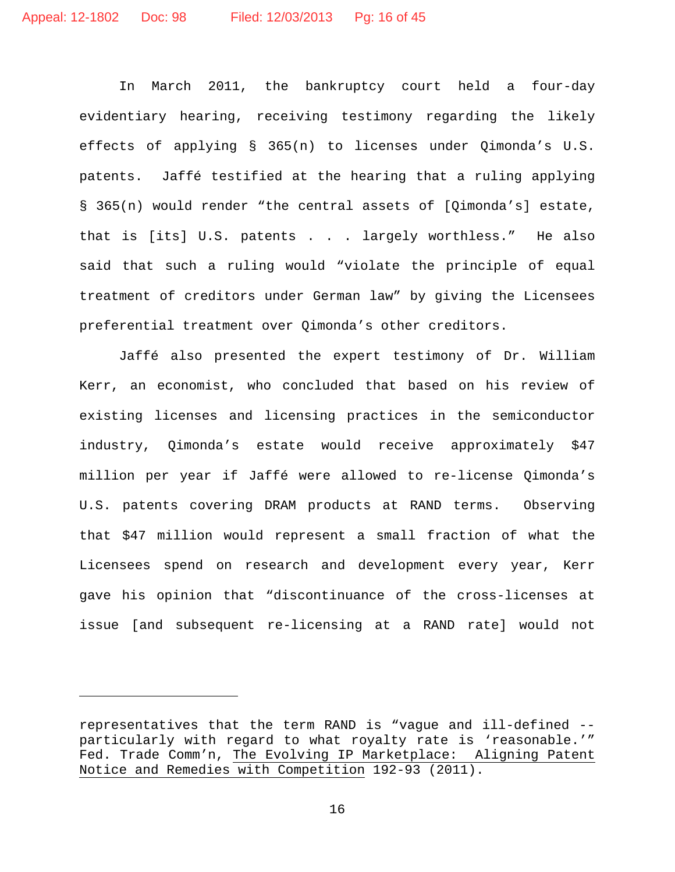In March 2011, the bankruptcy court held a four-day evidentiary hearing, receiving testimony regarding the likely effects of applying § 365(n) to licenses under Qimonda's U.S. patents. Jaffé testified at the hearing that a ruling applying § 365(n) would render "the central assets of [Qimonda's] estate, that is [its] U.S. patents . . . largely worthless." He also said that such a ruling would "violate the principle of equal treatment of creditors under German law" by giving the Licensees preferential treatment over Qimonda's other creditors.

Jaffé also presented the expert testimony of Dr. William Kerr, an economist, who concluded that based on his review of existing licenses and licensing practices in the semiconductor industry, Qimonda's estate would receive approximately \$47 million per year if Jaffé were allowed to re-license Qimonda's U.S. patents covering DRAM products at RAND terms. Observing that \$47 million would represent a small fraction of what the Licensees spend on research and development every year, Kerr gave his opinion that "discontinuance of the cross-licenses at issue [and subsequent re-licensing at a RAND rate] would not

Ĩ.

representatives that the term RAND is "vague and ill-defined - particularly with regard to what royalty rate is 'reasonable.'" Fed. Trade Comm'n, The Evolving IP Marketplace: Aligning Patent Notice and Remedies with Competition 192-93 (2011).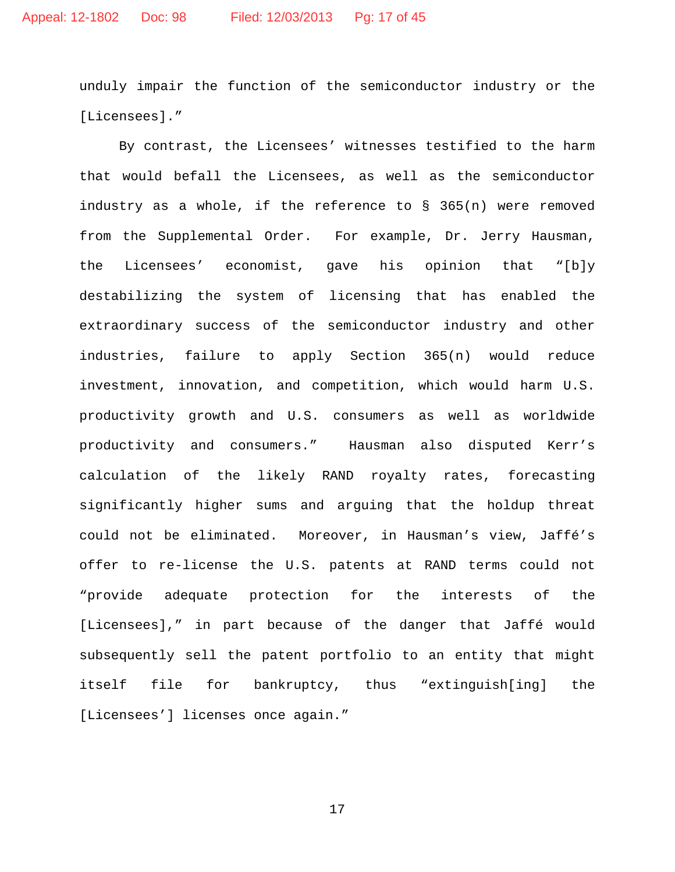unduly impair the function of the semiconductor industry or the [Licensees]."

By contrast, the Licensees' witnesses testified to the harm that would befall the Licensees, as well as the semiconductor industry as a whole, if the reference to § 365(n) were removed from the Supplemental Order. For example, Dr. Jerry Hausman, the Licensees' economist, gave his opinion that "[b]y destabilizing the system of licensing that has enabled the extraordinary success of the semiconductor industry and other industries, failure to apply Section 365(n) would reduce investment, innovation, and competition, which would harm U.S. productivity growth and U.S. consumers as well as worldwide productivity and consumers." Hausman also disputed Kerr's calculation of the likely RAND royalty rates, forecasting significantly higher sums and arguing that the holdup threat could not be eliminated. Moreover, in Hausman's view, Jaffé's offer to re-license the U.S. patents at RAND terms could not "provide adequate protection for the interests of the [Licensees]," in part because of the danger that Jaffé would subsequently sell the patent portfolio to an entity that might itself file for bankruptcy, thus "extinguish[ing] the [Licensees'] licenses once again."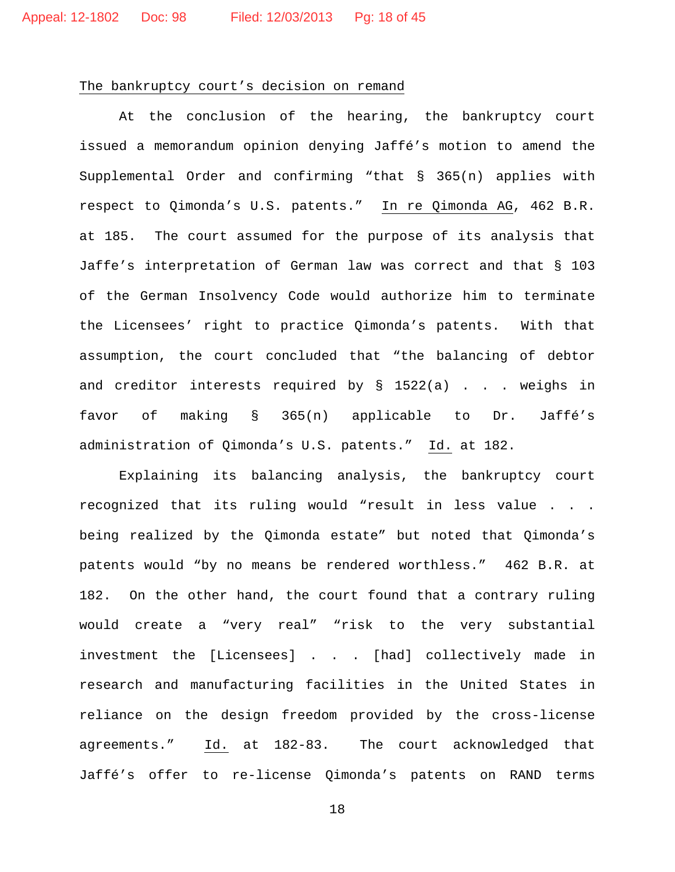#### The bankruptcy court's decision on remand

At the conclusion of the hearing, the bankruptcy court issued a memorandum opinion denying Jaffé's motion to amend the Supplemental Order and confirming "that § 365(n) applies with respect to Qimonda's U.S. patents." In re Qimonda AG, 462 B.R. at 185. The court assumed for the purpose of its analysis that Jaffe's interpretation of German law was correct and that § 103 of the German Insolvency Code would authorize him to terminate the Licensees' right to practice Qimonda's patents. With that assumption, the court concluded that "the balancing of debtor and creditor interests required by  $\S$  1522(a) . . . weighs in favor of making § 365(n) applicable to Dr. Jaffé's administration of Qimonda's U.S. patents." Id. at 182.

Explaining its balancing analysis, the bankruptcy court recognized that its ruling would "result in less value . . . being realized by the Qimonda estate" but noted that Qimonda's patents would "by no means be rendered worthless." 462 B.R. at 182. On the other hand, the court found that a contrary ruling would create a "very real" "risk to the very substantial investment the [Licensees] . . . [had] collectively made in research and manufacturing facilities in the United States in reliance on the design freedom provided by the cross-license agreements." Id. at 182-83. The court acknowledged that Jaffé's offer to re-license Qimonda's patents on RAND terms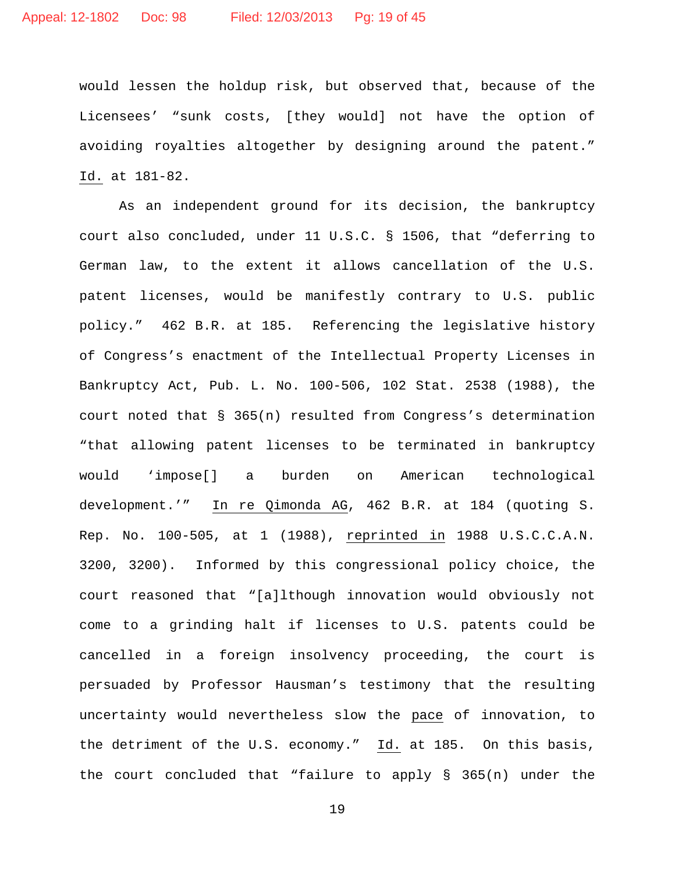would lessen the holdup risk, but observed that, because of the Licensees' "sunk costs, [they would] not have the option of avoiding royalties altogether by designing around the patent." Id. at 181-82.

As an independent ground for its decision, the bankruptcy court also concluded, under 11 U.S.C. § 1506, that "deferring to German law, to the extent it allows cancellation of the U.S. patent licenses, would be manifestly contrary to U.S. public policy." 462 B.R. at 185. Referencing the legislative history of Congress's enactment of the Intellectual Property Licenses in Bankruptcy Act, Pub. L. No. 100-506, 102 Stat. 2538 (1988), the court noted that § 365(n) resulted from Congress's determination "that allowing patent licenses to be terminated in bankruptcy would 'impose[] a burden on American technological development.'" In re Qimonda AG, 462 B.R. at 184 (quoting S. Rep. No. 100-505, at 1 (1988), reprinted in 1988 U.S.C.C.A.N. 3200, 3200). Informed by this congressional policy choice, the court reasoned that "[a]lthough innovation would obviously not come to a grinding halt if licenses to U.S. patents could be cancelled in a foreign insolvency proceeding, the court is persuaded by Professor Hausman's testimony that the resulting uncertainty would nevertheless slow the pace of innovation, to the detriment of the U.S. economy." Id. at 185. On this basis, the court concluded that "failure to apply § 365(n) under the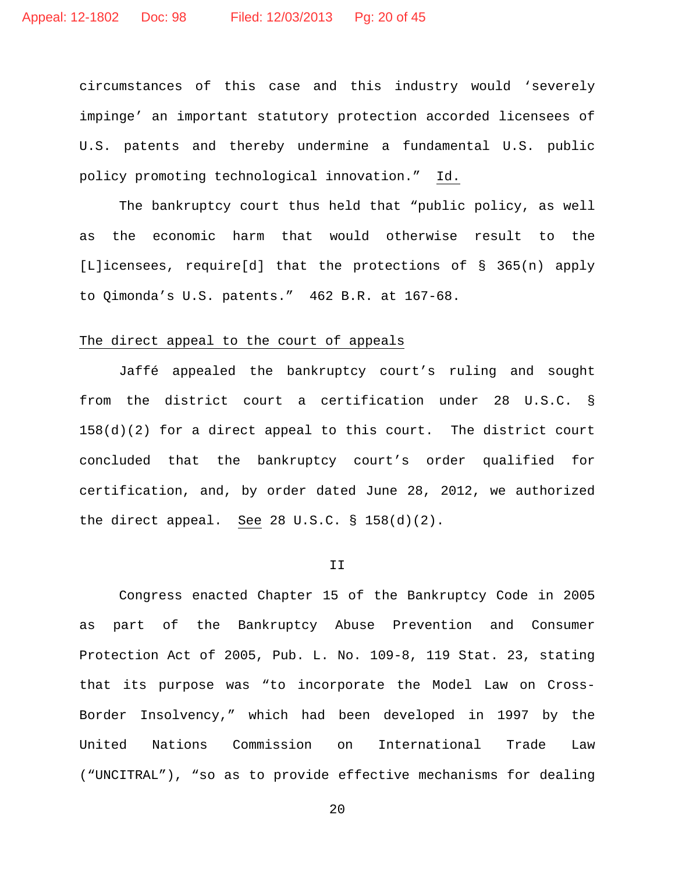circumstances of this case and this industry would 'severely impinge' an important statutory protection accorded licensees of U.S. patents and thereby undermine a fundamental U.S. public policy promoting technological innovation." Id.

The bankruptcy court thus held that "public policy, as well as the economic harm that would otherwise result to the [L]icensees, require[d] that the protections of § 365(n) apply to Qimonda's U.S. patents." 462 B.R. at 167-68.

# The direct appeal to the court of appeals

Jaffé appealed the bankruptcy court's ruling and sought from the district court a certification under 28 U.S.C. §  $158(d)(2)$  for a direct appeal to this court. The district court concluded that the bankruptcy court's order qualified for certification, and, by order dated June 28, 2012, we authorized the direct appeal. See 28 U.S.C. § 158(d)(2).

#### II

Congress enacted Chapter 15 of the Bankruptcy Code in 2005 as part of the Bankruptcy Abuse Prevention and Consumer Protection Act of 2005, Pub. L. No. 109-8, 119 Stat. 23, stating that its purpose was "to incorporate the Model Law on Cross-Border Insolvency," which had been developed in 1997 by the United Nations Commission on International Trade Law ("UNCITRAL"), "so as to provide effective mechanisms for dealing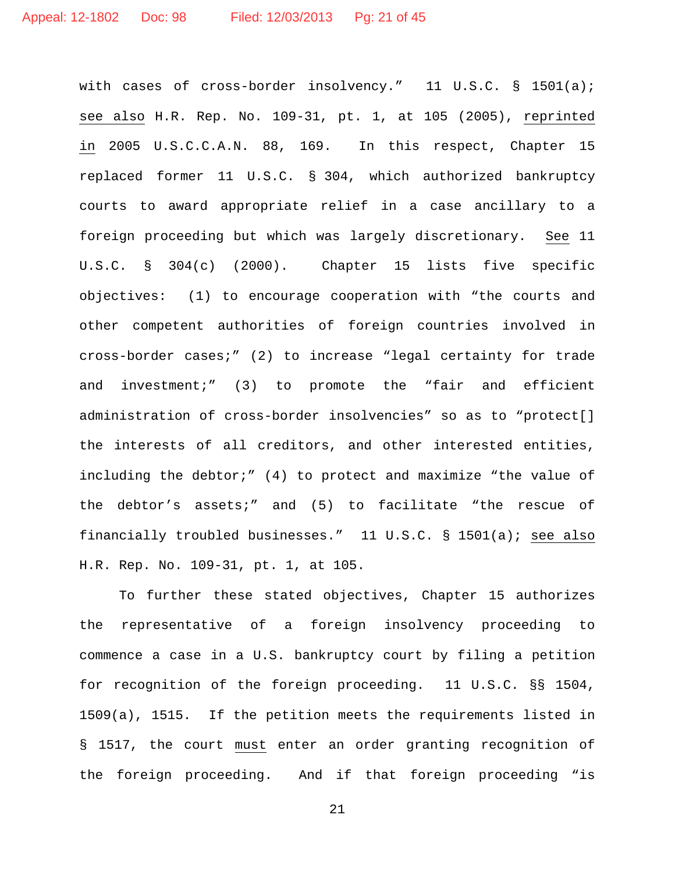with cases of cross-border insolvency." 11 U.S.C. § 1501(a); see also H.R. Rep. No. 109-31, pt. 1, at 105 (2005), reprinted in 2005 U.S.C.C.A.N. 88, 169. In this respect, Chapter 15 replaced former 11 U.S.C. § 304, which authorized bankruptcy courts to award appropriate relief in a case ancillary to a foreign proceeding but which was largely discretionary. See 11 U.S.C. § 304(c) (2000). Chapter 15 lists five specific objectives: (1) to encourage cooperation with "the courts and other competent authorities of foreign countries involved in cross-border cases;" (2) to increase "legal certainty for trade and investment;" (3) to promote the "fair and efficient administration of cross-border insolvencies" so as to "protect[] the interests of all creditors, and other interested entities, including the debtor;" (4) to protect and maximize "the value of the debtor's assets;" and (5) to facilitate "the rescue of financially troubled businesses." 11 U.S.C. § 1501(a); see also H.R. Rep. No. 109-31, pt. 1, at 105.

To further these stated objectives, Chapter 15 authorizes the representative of a foreign insolvency proceeding to commence a case in a U.S. bankruptcy court by filing a petition for recognition of the foreign proceeding. 11 U.S.C. §§ 1504, 1509(a), 1515. If the petition meets the requirements listed in § 1517, the court must enter an order granting recognition of the foreign proceeding. And if that foreign proceeding "is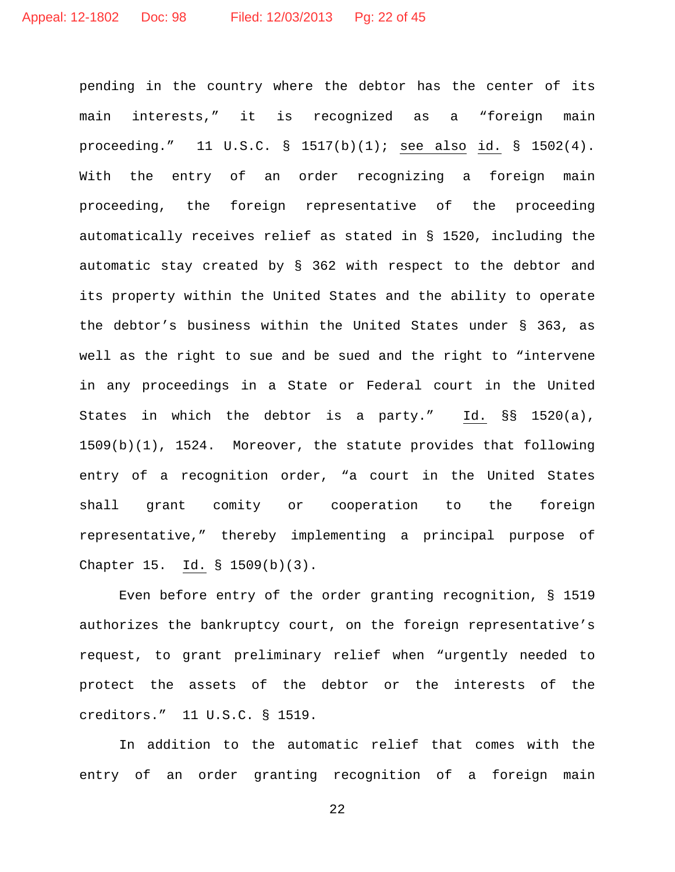pending in the country where the debtor has the center of its main interests," it is recognized as a "foreign main proceeding." 11 U.S.C. § 1517(b)(1); see also id. § 1502(4). With the entry of an order recognizing a foreign main proceeding, the foreign representative of the proceeding automatically receives relief as stated in § 1520, including the automatic stay created by § 362 with respect to the debtor and its property within the United States and the ability to operate the debtor's business within the United States under § 363, as well as the right to sue and be sued and the right to "intervene in any proceedings in a State or Federal court in the United States in which the debtor is a party." Id. §§ 1520(a), 1509(b)(1), 1524. Moreover, the statute provides that following entry of a recognition order, "a court in the United States shall grant comity or cooperation to the foreign representative," thereby implementing a principal purpose of Chapter 15. Id. § 1509(b)(3).

Even before entry of the order granting recognition, § 1519 authorizes the bankruptcy court, on the foreign representative's request, to grant preliminary relief when "urgently needed to protect the assets of the debtor or the interests of the creditors." 11 U.S.C. § 1519.

In addition to the automatic relief that comes with the entry of an order granting recognition of a foreign main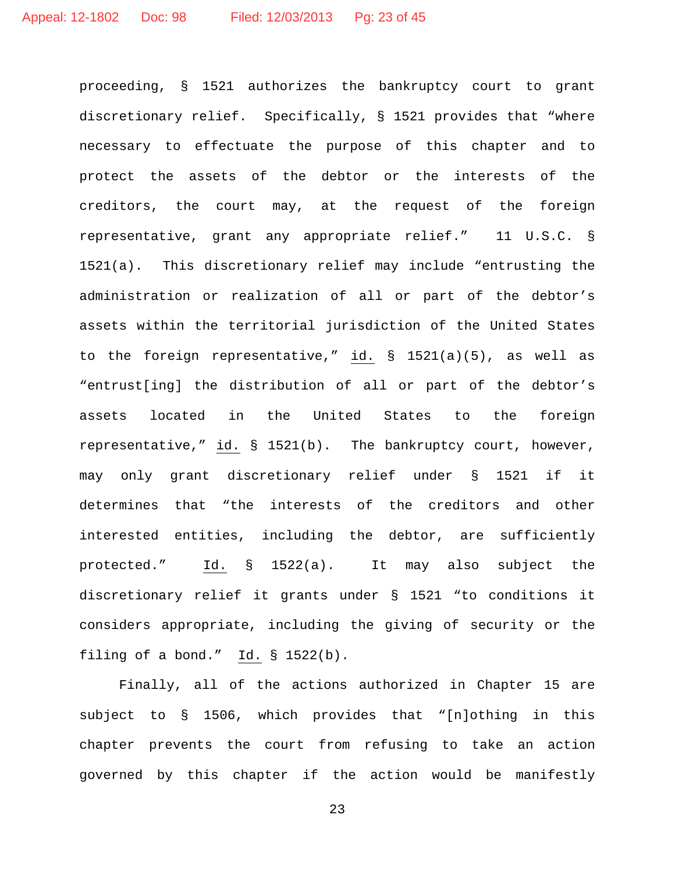proceeding, § 1521 authorizes the bankruptcy court to grant discretionary relief. Specifically, § 1521 provides that "where necessary to effectuate the purpose of this chapter and to protect the assets of the debtor or the interests of the creditors, the court may, at the request of the foreign representative, grant any appropriate relief." 11 U.S.C. § 1521(a). This discretionary relief may include "entrusting the administration or realization of all or part of the debtor's assets within the territorial jurisdiction of the United States to the foreign representative," id. § 1521(a)(5), as well as "entrust[ing] the distribution of all or part of the debtor's assets located in the United States to the foreign representative," id. § 1521(b). The bankruptcy court, however, may only grant discretionary relief under § 1521 if it determines that "the interests of the creditors and other interested entities, including the debtor, are sufficiently protected." Id. § 1522(a). It may also subject the discretionary relief it grants under § 1521 "to conditions it considers appropriate, including the giving of security or the filing of a bond." Id. § 1522(b).

Finally, all of the actions authorized in Chapter 15 are subject to § 1506, which provides that "[n]othing in this chapter prevents the court from refusing to take an action governed by this chapter if the action would be manifestly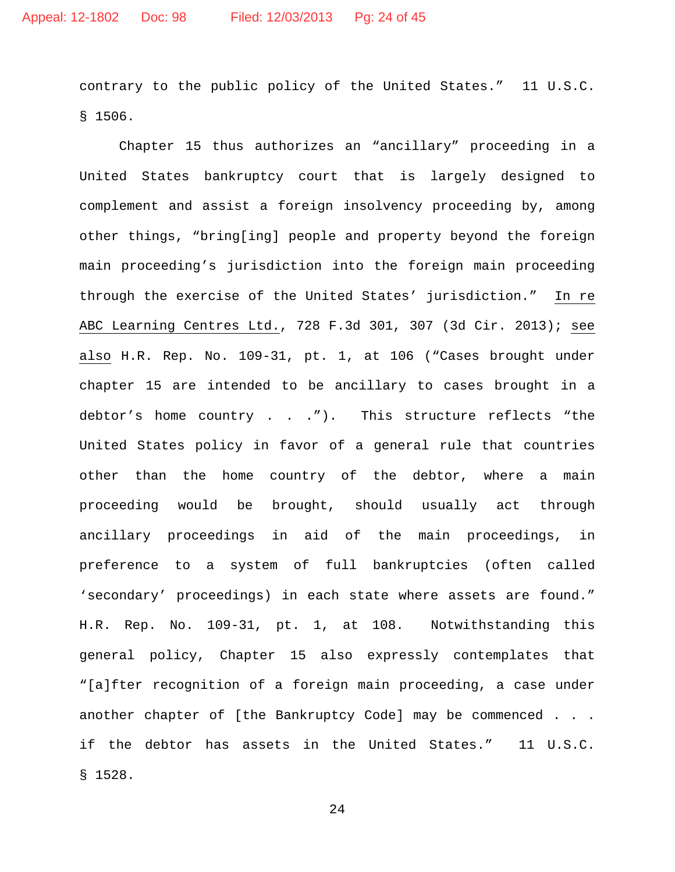contrary to the public policy of the United States." 11 U.S.C. § 1506.

Chapter 15 thus authorizes an "ancillary" proceeding in a United States bankruptcy court that is largely designed to complement and assist a foreign insolvency proceeding by, among other things, "bring[ing] people and property beyond the foreign main proceeding's jurisdiction into the foreign main proceeding through the exercise of the United States' jurisdiction." In re ABC Learning Centres Ltd., 728 F.3d 301, 307 (3d Cir. 2013); see also H.R. Rep. No. 109-31, pt. 1, at 106 ("Cases brought under chapter 15 are intended to be ancillary to cases brought in a debtor's home country . . ."). This structure reflects "the United States policy in favor of a general rule that countries other than the home country of the debtor, where a main proceeding would be brought, should usually act through ancillary proceedings in aid of the main proceedings, in preference to a system of full bankruptcies (often called 'secondary' proceedings) in each state where assets are found." H.R. Rep. No. 109-31, pt. 1, at 108. Notwithstanding this general policy, Chapter 15 also expressly contemplates that "[a]fter recognition of a foreign main proceeding, a case under another chapter of [the Bankruptcy Code] may be commenced . . . if the debtor has assets in the United States." 11 U.S.C. § 1528.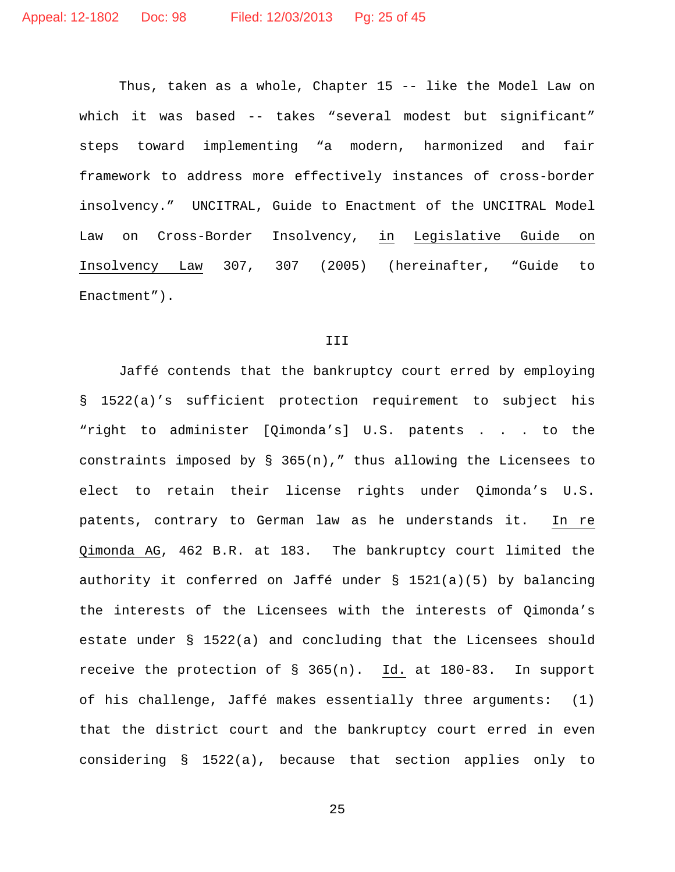Thus, taken as a whole, Chapter 15 -- like the Model Law on which it was based -- takes "several modest but significant" steps toward implementing "a modern, harmonized and fair framework to address more effectively instances of cross-border insolvency." UNCITRAL, Guide to Enactment of the UNCITRAL Model Law on Cross-Border Insolvency, in Legislative Guide on Insolvency Law 307, 307 (2005) (hereinafter, "Guide to Enactment").

#### III

Jaffé contends that the bankruptcy court erred by employing § 1522(a)'s sufficient protection requirement to subject his "right to administer [Qimonda's] U.S. patents . . . to the constraints imposed by  $\S$  365(n)," thus allowing the Licensees to elect to retain their license rights under Qimonda's U.S. patents, contrary to German law as he understands it. In re Qimonda AG, 462 B.R. at 183. The bankruptcy court limited the authority it conferred on Jaffé under § 1521(a)(5) by balancing the interests of the Licensees with the interests of Qimonda's estate under § 1522(a) and concluding that the Licensees should receive the protection of § 365(n). Id. at 180-83. In support of his challenge, Jaffé makes essentially three arguments: (1) that the district court and the bankruptcy court erred in even considering § 1522(a), because that section applies only to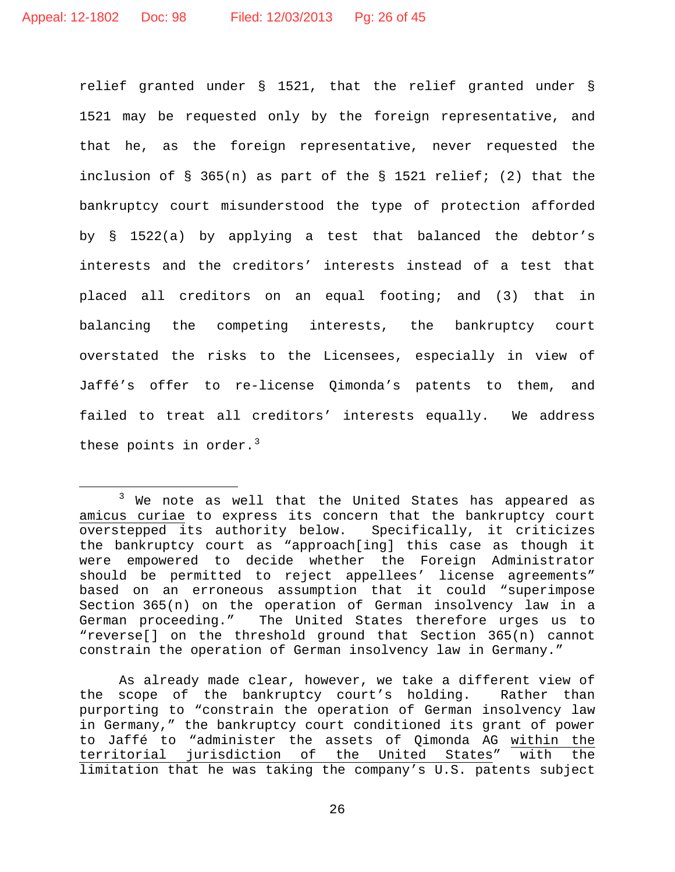relief granted under § 1521, that the relief granted under § 1521 may be requested only by the foreign representative, and that he, as the foreign representative, never requested the inclusion of § 365(n) as part of the § 1521 relief; (2) that the bankruptcy court misunderstood the type of protection afforded by § 1522(a) by applying a test that balanced the debtor's interests and the creditors' interests instead of a test that placed all creditors on an equal footing; and (3) that in balancing the competing interests, the bankruptcy court overstated the risks to the Licensees, especially in view of Jaffé's offer to re-license Qimonda's patents to them, and failed to treat all creditors' interests equally. We address these points in order. $3$ 

As already made clear, however, we take a different view of the scope of the bankruptcy court's holding. Rather than purporting to "constrain the operation of German insolvency law in Germany," the bankruptcy court conditioned its grant of power to Jaffé to "administer the assets of Qimonda AG within the<br>territorial jurisdiction of the United States" with the jurisdiction of the United States" with limitation that he was taking the company's U.S. patents subject

<span id="page-25-0"></span><sup>&</sup>lt;sup>3</sup> We note as well that the United States has appeared as amicus curiae to express its concern that the bankruptcy court overstepped its authority below. Specifically, it criticizes the bankruptcy court as "approach[ing] this case as though it were empowered to decide whether the Foreign Administrator should be permitted to reject appellees' license agreements" based on an erroneous assumption that it could "superimpose Section 365(n) on the operation of German insolvency law in a German proceeding." The United States therefore urges us to "reverse[] on the threshold ground that Section 365(n) cannot constrain the operation of German insolvency law in Germany."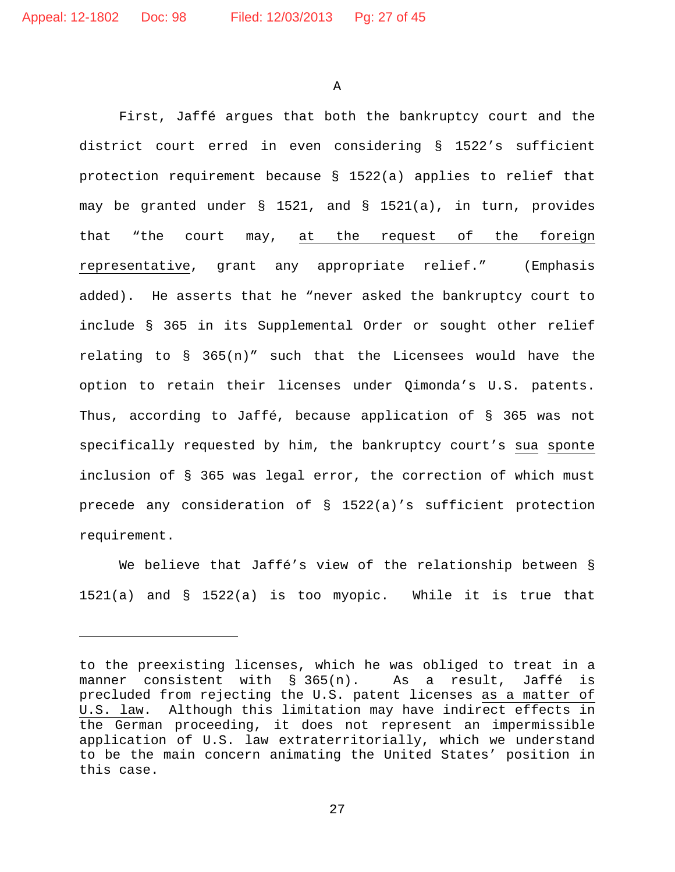Ĩ.

A

First, Jaffé argues that both the bankruptcy court and the district court erred in even considering § 1522's sufficient protection requirement because § 1522(a) applies to relief that may be granted under § 1521, and § 1521(a), in turn, provides that "the court may, at the request of the foreign representative, grant any appropriate relief." (Emphasis added). He asserts that he "never asked the bankruptcy court to include § 365 in its Supplemental Order or sought other relief relating to  $\S$  365(n)" such that the Licensees would have the option to retain their licenses under Qimonda's U.S. patents. Thus, according to Jaffé, because application of § 365 was not specifically requested by him, the bankruptcy court's sua sponte inclusion of § 365 was legal error, the correction of which must precede any consideration of § 1522(a)'s sufficient protection requirement.

We believe that Jaffé's view of the relationship between § 1521(a) and § 1522(a) is too myopic. While it is true that

to the preexisting licenses, which he was obliged to treat in a manner consistent with § 365(n). As a result, Jaffé is precluded from rejecting the U.S. patent licenses as a matter of U.S. law. Although this limitation may have indirect effects in the German proceeding, it does not represent an impermissible application of U.S. law extraterritorially, which we understand to be the main concern animating the United States' position in this case.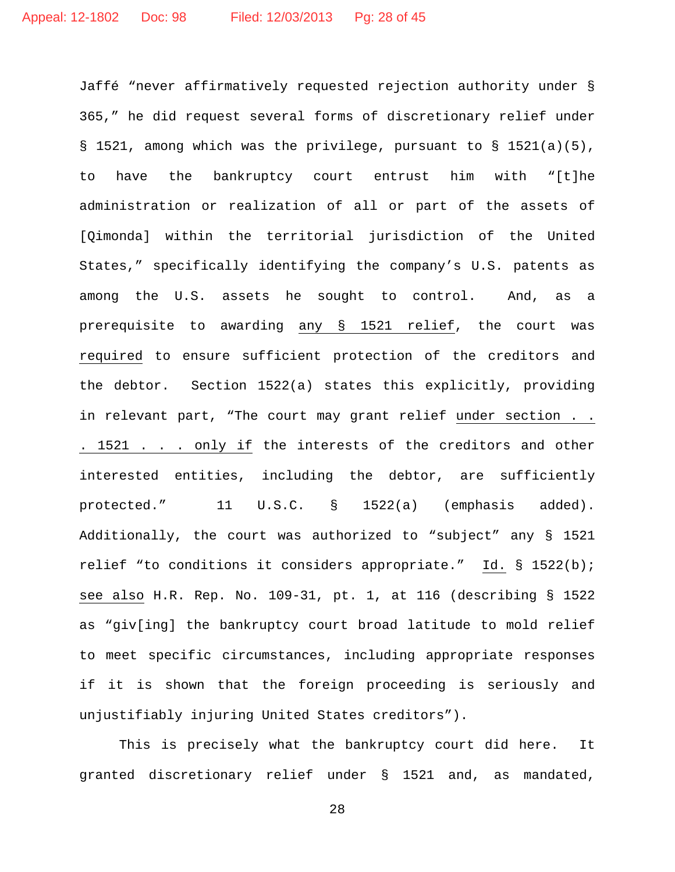Jaffé "never affirmatively requested rejection authority under § 365," he did request several forms of discretionary relief under § 1521, among which was the privilege, pursuant to § 1521(a)(5), to have the bankruptcy court entrust him with "[t]he administration or realization of all or part of the assets of [Qimonda] within the territorial jurisdiction of the United States," specifically identifying the company's U.S. patents as among the U.S. assets he sought to control. And, as a prerequisite to awarding any § 1521 relief, the court was required to ensure sufficient protection of the creditors and the debtor. Section 1522(a) states this explicitly, providing in relevant part, "The court may grant relief under section . . . 1521 . . . only if the interests of the creditors and other interested entities, including the debtor, are sufficiently protected." 11 U.S.C. § 1522(a) (emphasis added). Additionally, the court was authorized to "subject" any § 1521 relief "to conditions it considers appropriate." Id. § 1522(b); see also H.R. Rep. No. 109-31, pt. 1, at 116 (describing § 1522 as "giv[ing] the bankruptcy court broad latitude to mold relief to meet specific circumstances, including appropriate responses if it is shown that the foreign proceeding is seriously and unjustifiably injuring United States creditors").

This is precisely what the bankruptcy court did here. It granted discretionary relief under § 1521 and, as mandated,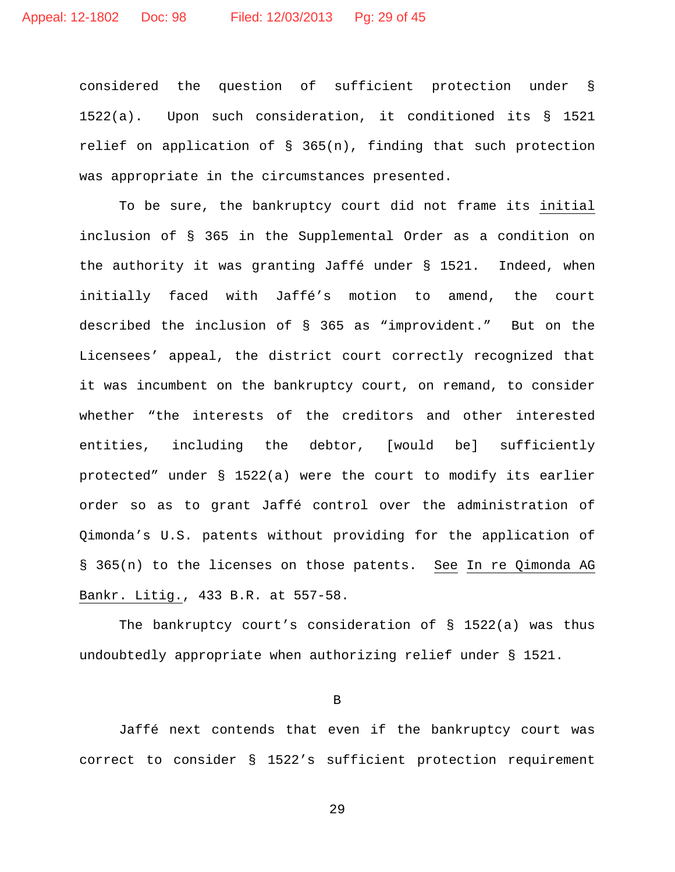considered the question of sufficient protection under § 1522(a). Upon such consideration, it conditioned its § 1521 relief on application of § 365(n), finding that such protection was appropriate in the circumstances presented.

To be sure, the bankruptcy court did not frame its initial inclusion of § 365 in the Supplemental Order as a condition on the authority it was granting Jaffé under § 1521. Indeed, when initially faced with Jaffé's motion to amend, the court described the inclusion of § 365 as "improvident." But on the Licensees' appeal, the district court correctly recognized that it was incumbent on the bankruptcy court, on remand, to consider whether "the interests of the creditors and other interested entities, including the debtor, [would be] sufficiently protected" under § 1522(a) were the court to modify its earlier order so as to grant Jaffé control over the administration of Qimonda's U.S. patents without providing for the application of § 365(n) to the licenses on those patents. See In re Qimonda AG Bankr. Litig., 433 B.R. at 557-58.

The bankruptcy court's consideration of § 1522(a) was thus undoubtedly appropriate when authorizing relief under § 1521.

B

Jaffé next contends that even if the bankruptcy court was correct to consider § 1522's sufficient protection requirement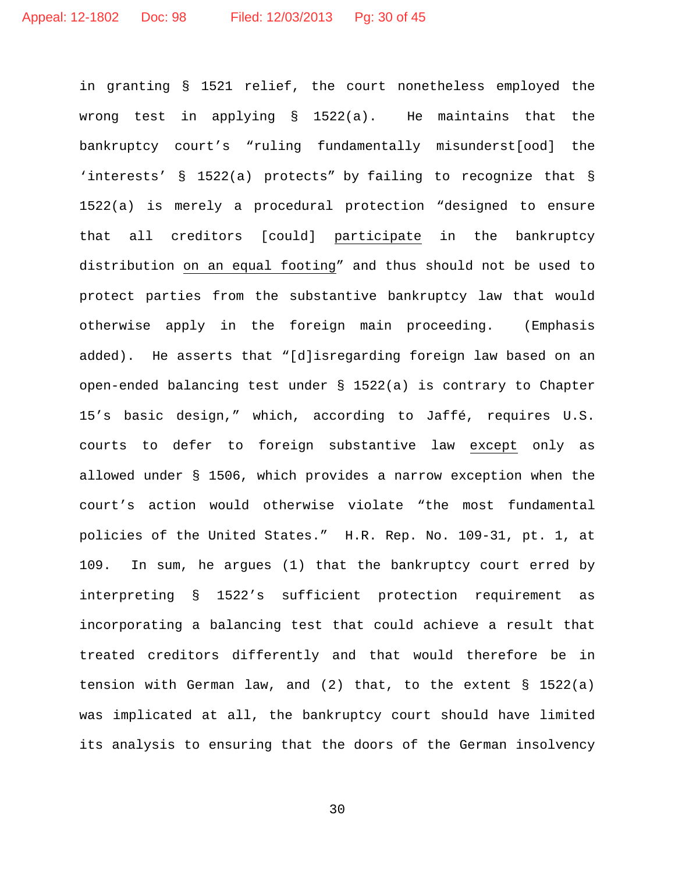in granting § 1521 relief, the court nonetheless employed the wrong test in applying § 1522(a). He maintains that the bankruptcy court's "ruling fundamentally misunderst[ood] the 'interests' § 1522(a) protects" by failing to recognize that § 1522(a) is merely a procedural protection "designed to ensure that all creditors [could] participate in the bankruptcy distribution on an equal footing" and thus should not be used to protect parties from the substantive bankruptcy law that would otherwise apply in the foreign main proceeding. (Emphasis added). He asserts that "[d]isregarding foreign law based on an open-ended balancing test under § 1522(a) is contrary to Chapter 15's basic design," which, according to Jaffé, requires U.S. courts to defer to foreign substantive law except only as allowed under § 1506, which provides a narrow exception when the court's action would otherwise violate "the most fundamental policies of the United States." H.R. Rep. No. 109-31, pt. 1, at 109. In sum, he argues (1) that the bankruptcy court erred by interpreting § 1522's sufficient protection requirement as incorporating a balancing test that could achieve a result that treated creditors differently and that would therefore be in tension with German law, and (2) that, to the extent § 1522(a) was implicated at all, the bankruptcy court should have limited its analysis to ensuring that the doors of the German insolvency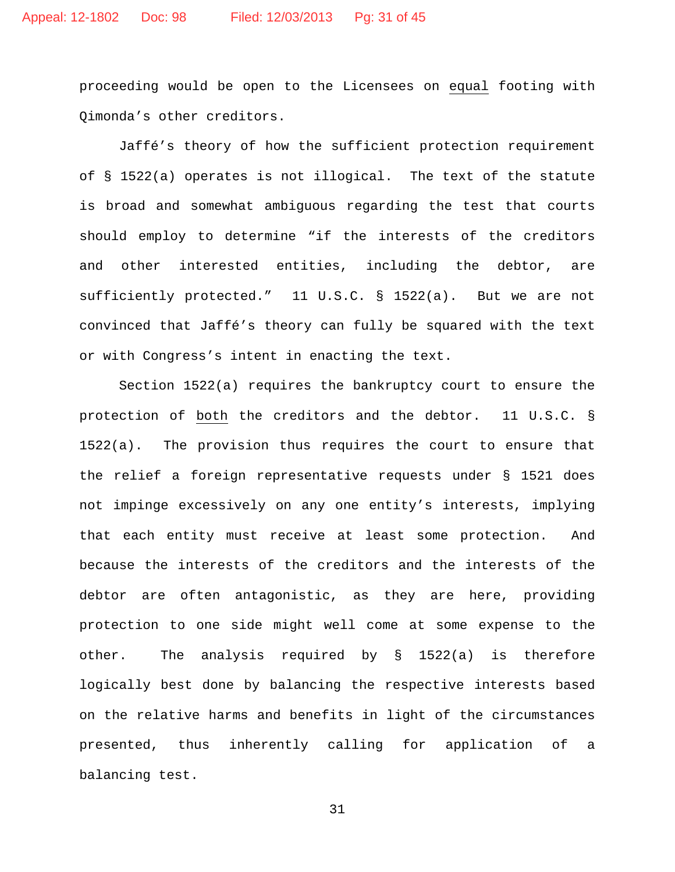proceeding would be open to the Licensees on equal footing with Qimonda's other creditors.

Jaffé's theory of how the sufficient protection requirement of § 1522(a) operates is not illogical. The text of the statute is broad and somewhat ambiguous regarding the test that courts should employ to determine "if the interests of the creditors and other interested entities, including the debtor, are sufficiently protected." 11 U.S.C. § 1522(a). But we are not convinced that Jaffé's theory can fully be squared with the text or with Congress's intent in enacting the text.

Section 1522(a) requires the bankruptcy court to ensure the protection of both the creditors and the debtor. 11 U.S.C. § 1522(a). The provision thus requires the court to ensure that the relief a foreign representative requests under § 1521 does not impinge excessively on any one entity's interests, implying that each entity must receive at least some protection. And because the interests of the creditors and the interests of the debtor are often antagonistic, as they are here, providing protection to one side might well come at some expense to the other. The analysis required by § 1522(a) is therefore logically best done by balancing the respective interests based on the relative harms and benefits in light of the circumstances presented, thus inherently calling for application of a balancing test.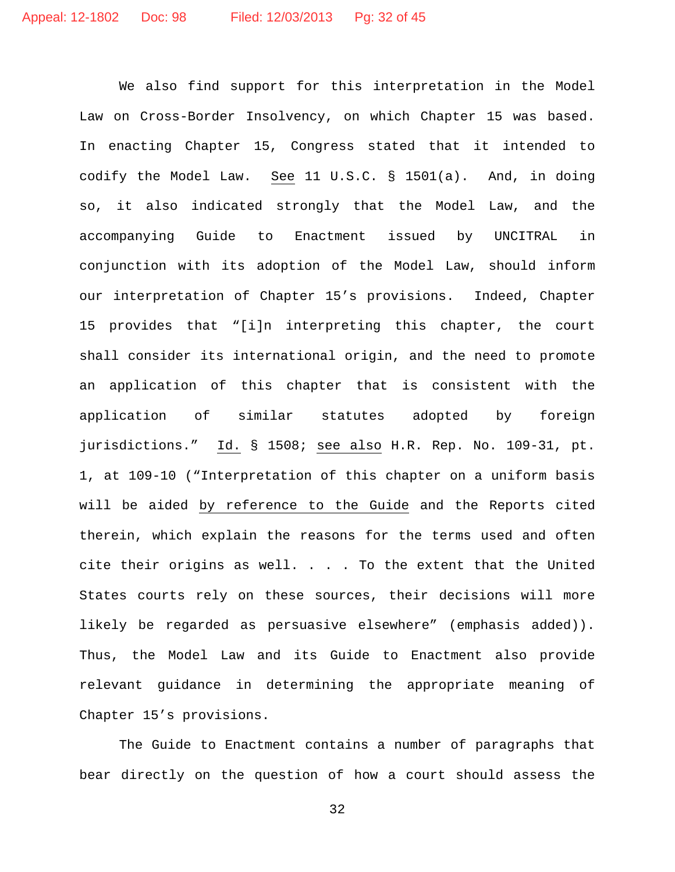We also find support for this interpretation in the Model Law on Cross-Border Insolvency, on which Chapter 15 was based. In enacting Chapter 15, Congress stated that it intended to codify the Model Law. See 11 U.S.C. § 1501(a). And, in doing so, it also indicated strongly that the Model Law, and the accompanying Guide to Enactment issued by UNCITRAL in conjunction with its adoption of the Model Law, should inform our interpretation of Chapter 15's provisions. Indeed, Chapter 15 provides that "[i]n interpreting this chapter, the court shall consider its international origin, and the need to promote an application of this chapter that is consistent with the application of similar statutes adopted by foreign jurisdictions." Id. § 1508; see also H.R. Rep. No. 109-31, pt. 1, at 109-10 ("Interpretation of this chapter on a uniform basis will be aided by reference to the Guide and the Reports cited therein, which explain the reasons for the terms used and often cite their origins as well. . . . To the extent that the United States courts rely on these sources, their decisions will more likely be regarded as persuasive elsewhere" (emphasis added)). Thus, the Model Law and its Guide to Enactment also provide relevant guidance in determining the appropriate meaning of Chapter 15's provisions.

The Guide to Enactment contains a number of paragraphs that bear directly on the question of how a court should assess the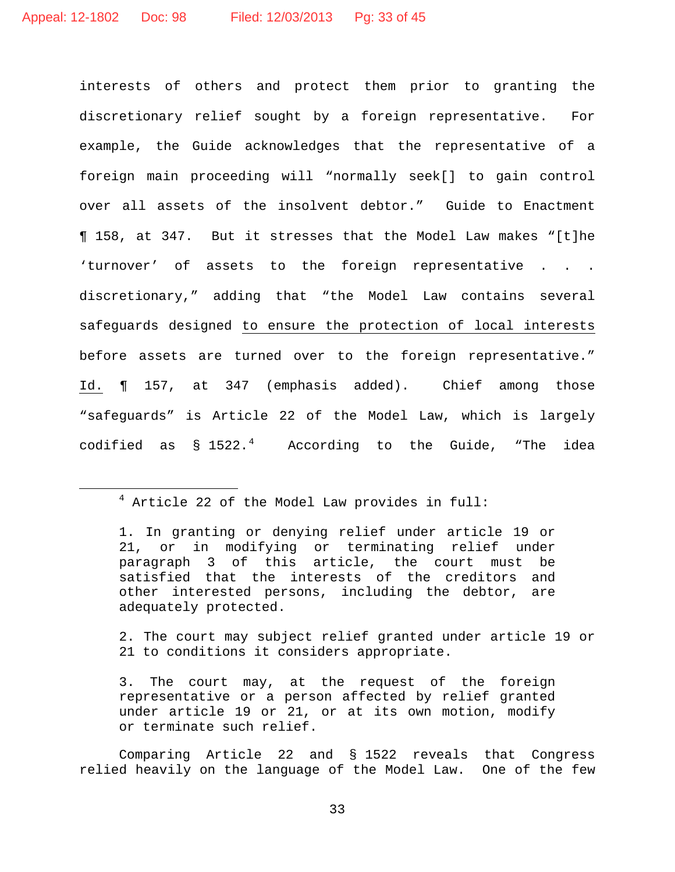interests of others and protect them prior to granting the discretionary relief sought by a foreign representative. For example, the Guide acknowledges that the representative of a foreign main proceeding will "normally seek[] to gain control over all assets of the insolvent debtor." Guide to Enactment ¶ 158, at 347. But it stresses that the Model Law makes "[t]he 'turnover' of assets to the foreign representative . . . discretionary," adding that "the Model Law contains several safeguards designed to ensure the protection of local interests before assets are turned over to the foreign representative." Id. ¶ 157, at 347 (emphasis added). Chief among those "safeguards" is Article 22 of the Model Law, which is largely codified as  $\S$  1522.<sup>[4](#page-32-0)</sup> According to the Guide, "The idea

2. The court may subject relief granted under article 19 or 21 to conditions it considers appropriate.

Comparing Article 22 and § 1522 reveals that Congress relied heavily on the language of the Model Law. One of the few

<span id="page-32-0"></span> $4$  Article 22 of the Model Law provides in full:

<sup>1.</sup> In granting or denying relief under article 19 or 21, or in modifying or terminating relief under paragraph 3 of this article, the court must be satisfied that the interests of the creditors and other interested persons, including the debtor, are adequately protected.

<sup>3.</sup> The court may, at the request of the foreign representative or a person affected by relief granted under article 19 or 21, or at its own motion, modify or terminate such relief.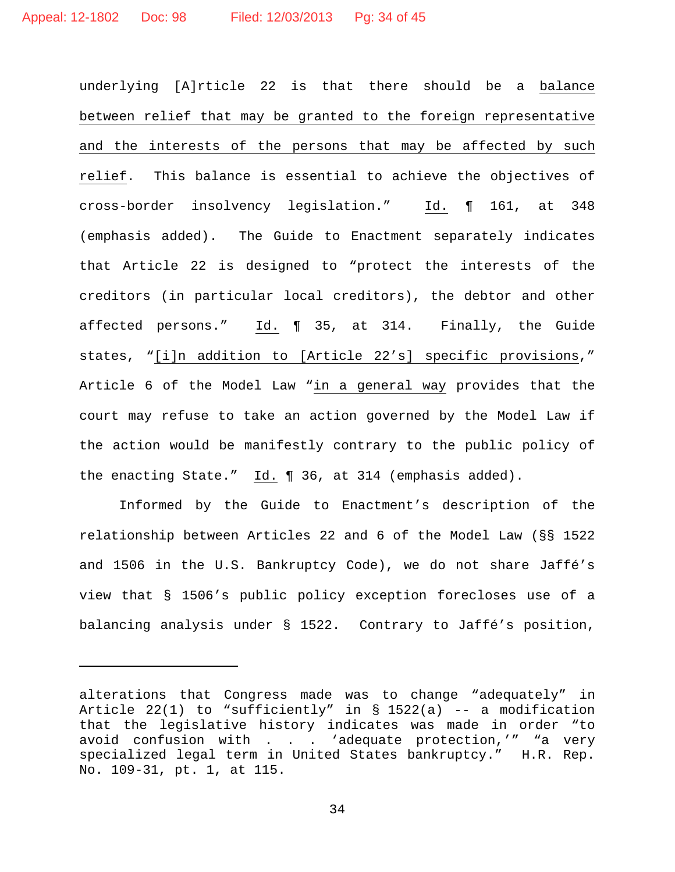underlying [A]rticle 22 is that there should be a balance between relief that may be granted to the foreign representative and the interests of the persons that may be affected by such relief. This balance is essential to achieve the objectives of cross-border insolvency legislation." Id. ¶ 161, at 348 (emphasis added). The Guide to Enactment separately indicates that Article 22 is designed to "protect the interests of the creditors (in particular local creditors), the debtor and other affected persons." Id. ¶ 35, at 314. Finally, the Guide states, "[i]n addition to [Article 22's] specific provisions," Article 6 of the Model Law "in a general way provides that the court may refuse to take an action governed by the Model Law if the action would be manifestly contrary to the public policy of the enacting State." Id. ¶ 36, at 314 (emphasis added).

Informed by the Guide to Enactment's description of the relationship between Articles 22 and 6 of the Model Law (§§ 1522 and 1506 in the U.S. Bankruptcy Code), we do not share Jaffé's view that § 1506's public policy exception forecloses use of a balancing analysis under § 1522. Contrary to Jaffé's position,

ī

alterations that Congress made was to change "adequately" in Article  $22(1)$  to "sufficiently" in § 1522(a) -- a modification that the legislative history indicates was made in order "to avoid confusion with  $\ldots$  . 'adequate protection,'" "a very specialized legal term in United States bankruptcy." H.R. Rep. No. 109-31, pt. 1, at 115.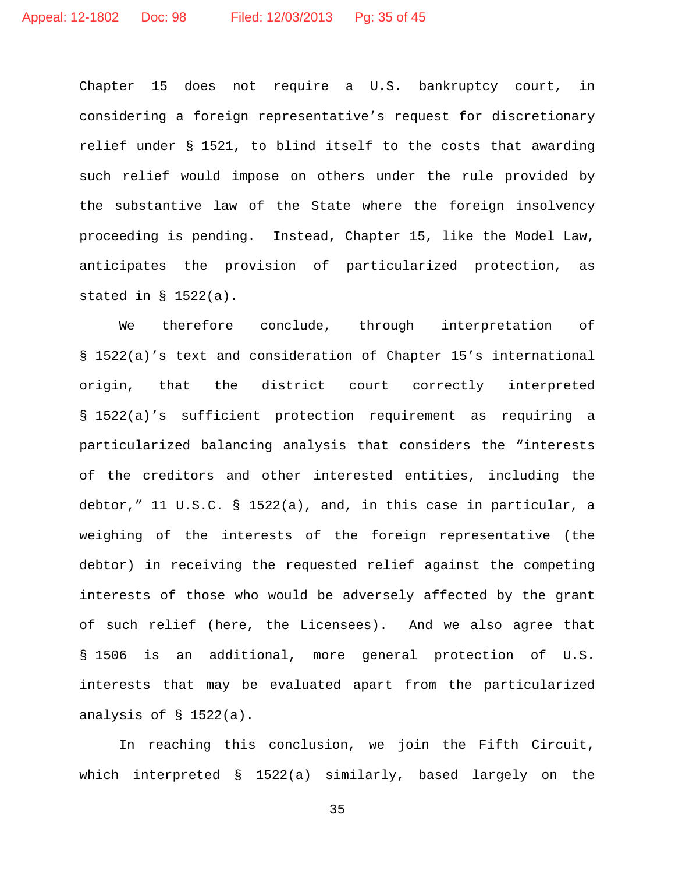Chapter 15 does not require a U.S. bankruptcy court, in considering a foreign representative's request for discretionary relief under § 1521, to blind itself to the costs that awarding such relief would impose on others under the rule provided by the substantive law of the State where the foreign insolvency proceeding is pending. Instead, Chapter 15, like the Model Law, anticipates the provision of particularized protection, as stated in § 1522(a).

We therefore conclude, through interpretation of § 1522(a)'s text and consideration of Chapter 15's international origin, that the district court correctly interpreted § 1522(a)'s sufficient protection requirement as requiring a particularized balancing analysis that considers the "interests of the creditors and other interested entities, including the debtor," 11 U.S.C. § 1522(a), and, in this case in particular, a weighing of the interests of the foreign representative (the debtor) in receiving the requested relief against the competing interests of those who would be adversely affected by the grant of such relief (here, the Licensees). And we also agree that § 1506 is an additional, more general protection of U.S. interests that may be evaluated apart from the particularized analysis of § 1522(a).

In reaching this conclusion, we join the Fifth Circuit, which interpreted § 1522(a) similarly, based largely on the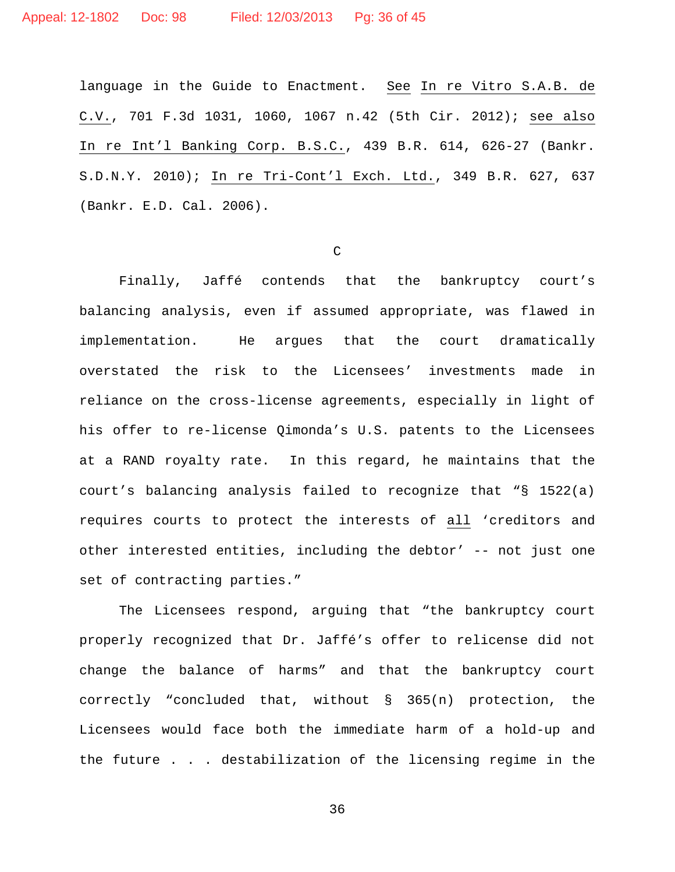language in the Guide to Enactment. See In re Vitro S.A.B. de C.V., 701 F.3d 1031, 1060, 1067 n.42 (5th Cir. 2012); see also In re Int'l Banking Corp. B.S.C., 439 B.R. 614, 626-27 (Bankr. S.D.N.Y. 2010); In re Tri-Cont'l Exch. Ltd., 349 B.R. 627, 637 (Bankr. E.D. Cal. 2006).

C

Finally, Jaffé contends that the bankruptcy court's balancing analysis, even if assumed appropriate, was flawed in implementation. He argues that the court dramatically overstated the risk to the Licensees' investments made in reliance on the cross-license agreements, especially in light of his offer to re-license Qimonda's U.S. patents to the Licensees at a RAND royalty rate. In this regard, he maintains that the court's balancing analysis failed to recognize that "§ 1522(a) requires courts to protect the interests of all 'creditors and other interested entities, including the debtor' -- not just one set of contracting parties."

The Licensees respond, arguing that "the bankruptcy court properly recognized that Dr. Jaffé's offer to relicense did not change the balance of harms" and that the bankruptcy court correctly "concluded that, without § 365(n) protection, the Licensees would face both the immediate harm of a hold-up and the future . . . destabilization of the licensing regime in the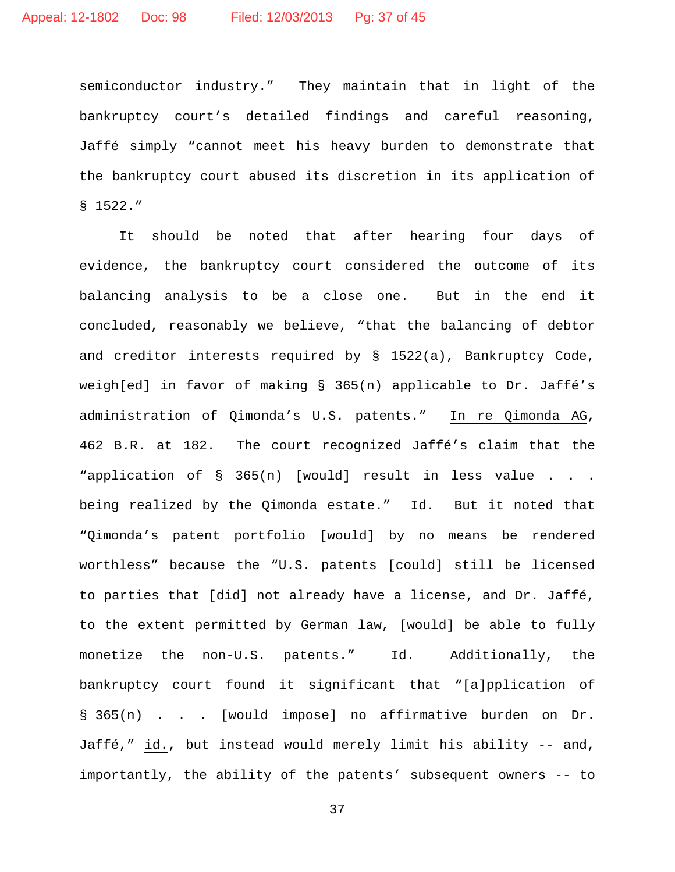semiconductor industry." They maintain that in light of the bankruptcy court's detailed findings and careful reasoning, Jaffé simply "cannot meet his heavy burden to demonstrate that the bankruptcy court abused its discretion in its application of § 1522."

It should be noted that after hearing four days of evidence, the bankruptcy court considered the outcome of its balancing analysis to be a close one. But in the end it concluded, reasonably we believe, "that the balancing of debtor and creditor interests required by § 1522(a), Bankruptcy Code, weigh[ed] in favor of making § 365(n) applicable to Dr. Jaffé's administration of Qimonda's U.S. patents." In re Qimonda AG, 462 B.R. at 182. The court recognized Jaffé's claim that the "application of § 365(n) [would] result in less value . . . being realized by the Qimonda estate." Id. But it noted that "Qimonda's patent portfolio [would] by no means be rendered worthless" because the "U.S. patents [could] still be licensed to parties that [did] not already have a license, and Dr. Jaffé, to the extent permitted by German law, [would] be able to fully monetize the non-U.S. patents." Id. Additionally, the bankruptcy court found it significant that "[a]pplication of § 365(n) . . . [would impose] no affirmative burden on Dr. Jaffé," id., but instead would merely limit his ability -- and, importantly, the ability of the patents' subsequent owners -- to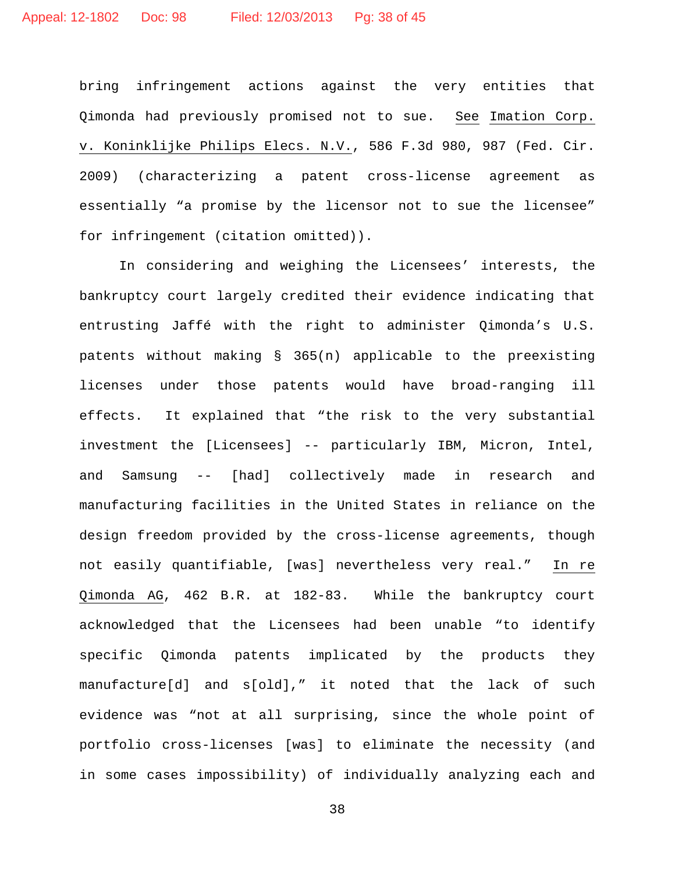bring infringement actions against the very entities that Qimonda had previously promised not to sue. See Imation Corp. v. Koninklijke Philips Elecs. N.V., 586 F.3d 980, 987 (Fed. Cir. 2009) (characterizing a patent cross-license agreement as essentially "a promise by the licensor not to sue the licensee" for infringement (citation omitted)).

In considering and weighing the Licensees' interests, the bankruptcy court largely credited their evidence indicating that entrusting Jaffé with the right to administer Qimonda's U.S. patents without making § 365(n) applicable to the preexisting licenses under those patents would have broad-ranging ill effects. It explained that "the risk to the very substantial investment the [Licensees] -- particularly IBM, Micron, Intel, and Samsung -- [had] collectively made in research and manufacturing facilities in the United States in reliance on the design freedom provided by the cross-license agreements, though not easily quantifiable, [was] nevertheless very real." In re Qimonda AG, 462 B.R. at 182-83. While the bankruptcy court acknowledged that the Licensees had been unable "to identify specific Qimonda patents implicated by the products they manufacture[d] and s[old]," it noted that the lack of such evidence was "not at all surprising, since the whole point of portfolio cross-licenses [was] to eliminate the necessity (and in some cases impossibility) of individually analyzing each and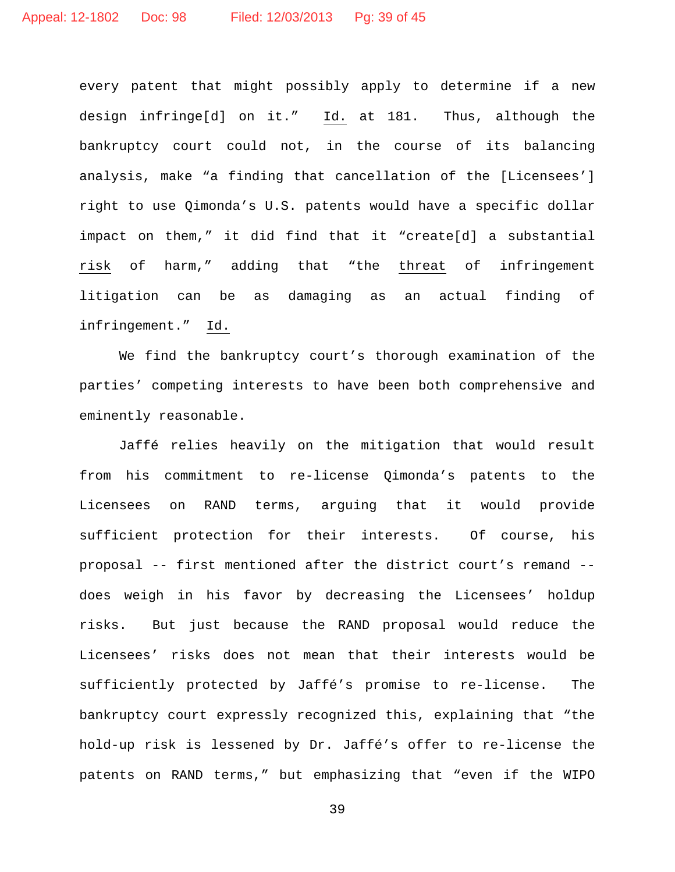every patent that might possibly apply to determine if a new design infringe[d] on it." Id. at 181. Thus, although the bankruptcy court could not, in the course of its balancing analysis, make "a finding that cancellation of the [Licensees'] right to use Qimonda's U.S. patents would have a specific dollar impact on them," it did find that it "create[d] a substantial risk of harm," adding that "the threat of infringement litigation can be as damaging as an actual finding of infringement." Id.

We find the bankruptcy court's thorough examination of the parties' competing interests to have been both comprehensive and eminently reasonable.

Jaffé relies heavily on the mitigation that would result from his commitment to re-license Qimonda's patents to the Licensees on RAND terms, arguing that it would provide sufficient protection for their interests. Of course, his proposal -- first mentioned after the district court's remand - does weigh in his favor by decreasing the Licensees' holdup risks. But just because the RAND proposal would reduce the Licensees' risks does not mean that their interests would be sufficiently protected by Jaffé's promise to re-license. The bankruptcy court expressly recognized this, explaining that "the hold-up risk is lessened by Dr. Jaffé's offer to re-license the patents on RAND terms," but emphasizing that "even if the WIPO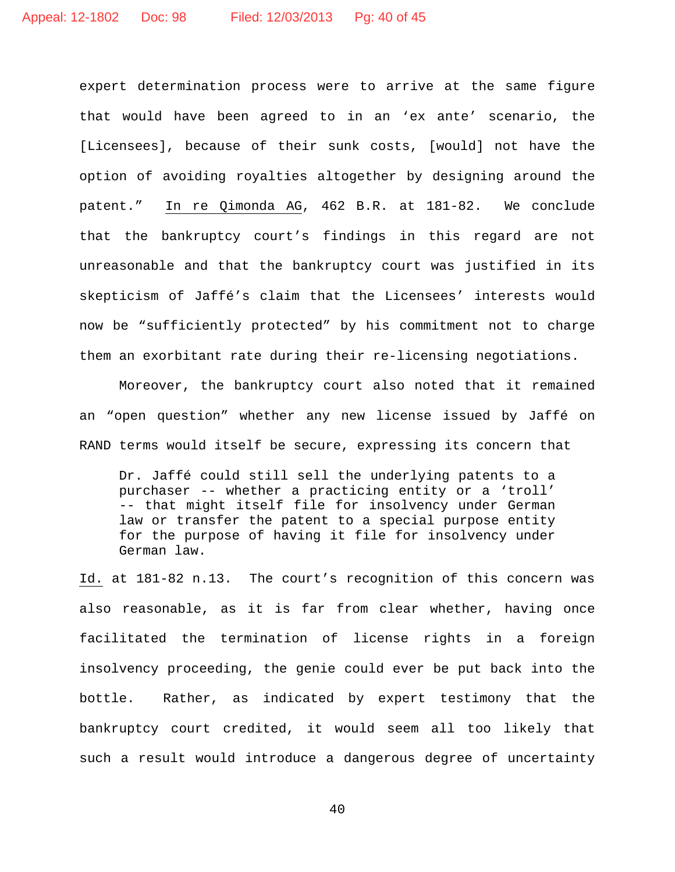expert determination process were to arrive at the same figure that would have been agreed to in an 'ex ante' scenario, the [Licensees], because of their sunk costs, [would] not have the option of avoiding royalties altogether by designing around the patent." In re Qimonda AG, 462 B.R. at 181-82. We conclude that the bankruptcy court's findings in this regard are not unreasonable and that the bankruptcy court was justified in its skepticism of Jaffé's claim that the Licensees' interests would now be "sufficiently protected" by his commitment not to charge them an exorbitant rate during their re-licensing negotiations.

Moreover, the bankruptcy court also noted that it remained an "open question" whether any new license issued by Jaffé on RAND terms would itself be secure, expressing its concern that

Dr. Jaffé could still sell the underlying patents to a purchaser -- whether a practicing entity or a 'troll' -- that might itself file for insolvency under German law or transfer the patent to a special purpose entity for the purpose of having it file for insolvency under German law.

Id. at 181-82 n.13. The court's recognition of this concern was also reasonable, as it is far from clear whether, having once facilitated the termination of license rights in a foreign insolvency proceeding, the genie could ever be put back into the bottle. Rather, as indicated by expert testimony that the bankruptcy court credited, it would seem all too likely that such a result would introduce a dangerous degree of uncertainty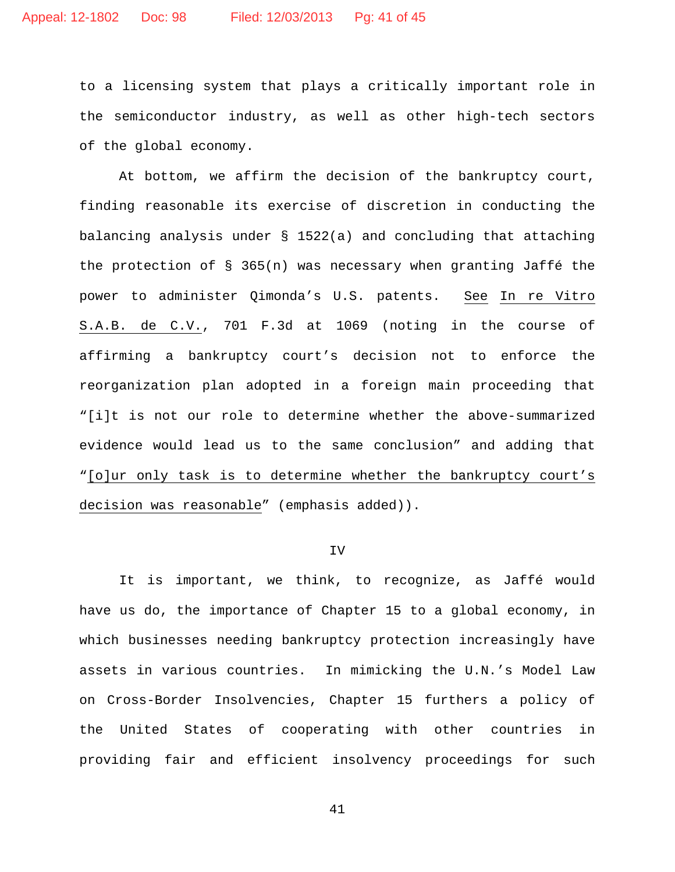to a licensing system that plays a critically important role in the semiconductor industry, as well as other high-tech sectors of the global economy.

At bottom, we affirm the decision of the bankruptcy court, finding reasonable its exercise of discretion in conducting the balancing analysis under § 1522(a) and concluding that attaching the protection of § 365(n) was necessary when granting Jaffé the power to administer Qimonda's U.S. patents. See In re Vitro S.A.B. de C.V., 701 F.3d at 1069 (noting in the course of affirming a bankruptcy court's decision not to enforce the reorganization plan adopted in a foreign main proceeding that "[i]t is not our role to determine whether the above-summarized evidence would lead us to the same conclusion" and adding that "[o]ur only task is to determine whether the bankruptcy court's decision was reasonable" (emphasis added)).

# IV

It is important, we think, to recognize, as Jaffé would have us do, the importance of Chapter 15 to a global economy, in which businesses needing bankruptcy protection increasingly have assets in various countries. In mimicking the U.N.'s Model Law on Cross-Border Insolvencies, Chapter 15 furthers a policy of the United States of cooperating with other countries in providing fair and efficient insolvency proceedings for such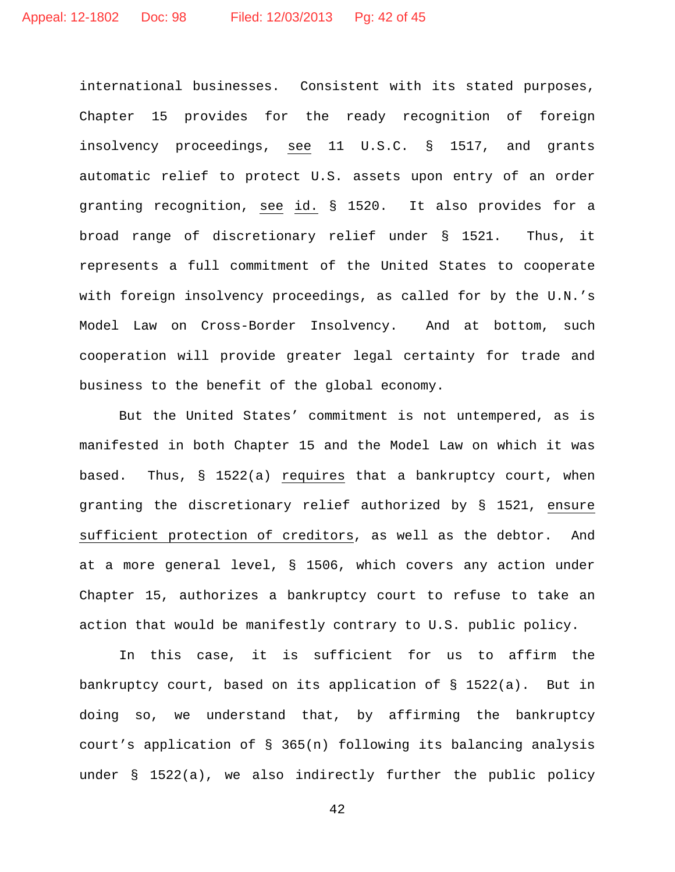international businesses. Consistent with its stated purposes, Chapter 15 provides for the ready recognition of foreign insolvency proceedings, see 11 U.S.C. § 1517, and grants automatic relief to protect U.S. assets upon entry of an order granting recognition, see id. § 1520. It also provides for a broad range of discretionary relief under § 1521. Thus, it represents a full commitment of the United States to cooperate with foreign insolvency proceedings, as called for by the U.N.'s Model Law on Cross-Border Insolvency. And at bottom, such cooperation will provide greater legal certainty for trade and business to the benefit of the global economy.

But the United States' commitment is not untempered, as is manifested in both Chapter 15 and the Model Law on which it was based. Thus, § 1522(a) requires that a bankruptcy court, when granting the discretionary relief authorized by § 1521, ensure sufficient protection of creditors, as well as the debtor. And at a more general level, § 1506, which covers any action under Chapter 15, authorizes a bankruptcy court to refuse to take an action that would be manifestly contrary to U.S. public policy.

In this case, it is sufficient for us to affirm the bankruptcy court, based on its application of § 1522(a). But in doing so, we understand that, by affirming the bankruptcy court's application of § 365(n) following its balancing analysis under § 1522(a), we also indirectly further the public policy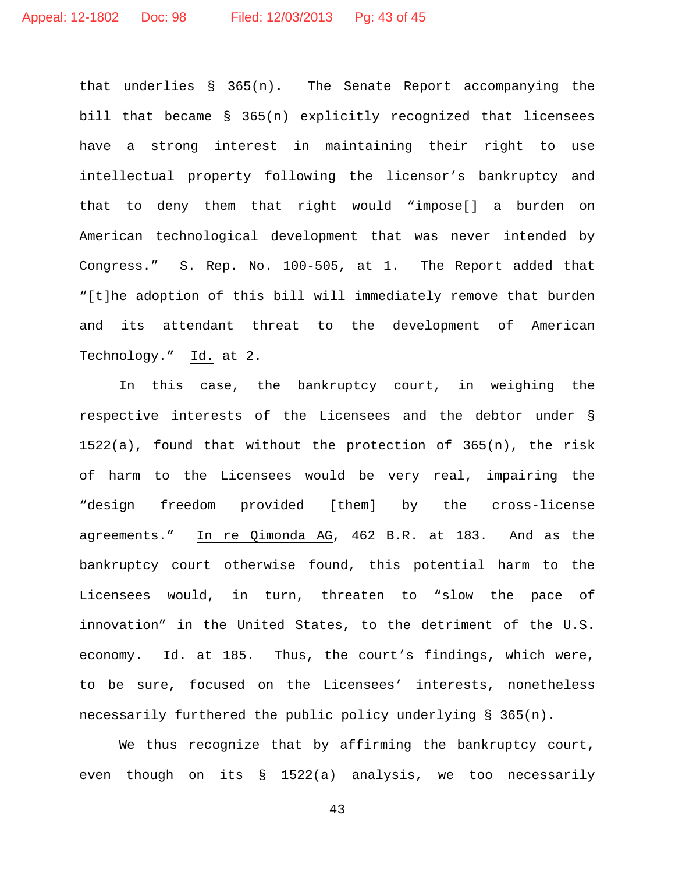that underlies § 365(n). The Senate Report accompanying the bill that became § 365(n) explicitly recognized that licensees have a strong interest in maintaining their right to use intellectual property following the licensor's bankruptcy and that to deny them that right would "impose[] a burden on American technological development that was never intended by Congress." S. Rep. No. 100-505, at 1. The Report added that "[t]he adoption of this bill will immediately remove that burden and its attendant threat to the development of American Technology." Id. at 2.

In this case, the bankruptcy court, in weighing the respective interests of the Licensees and the debtor under § 1522(a), found that without the protection of 365(n), the risk of harm to the Licensees would be very real, impairing the "design freedom provided [them] by the cross-license agreements." In re Qimonda AG, 462 B.R. at 183. And as the bankruptcy court otherwise found, this potential harm to the Licensees would, in turn, threaten to "slow the pace of innovation" in the United States, to the detriment of the U.S. economy. Id. at 185. Thus, the court's findings, which were, to be sure, focused on the Licensees' interests, nonetheless necessarily furthered the public policy underlying § 365(n).

We thus recognize that by affirming the bankruptcy court, even though on its § 1522(a) analysis, we too necessarily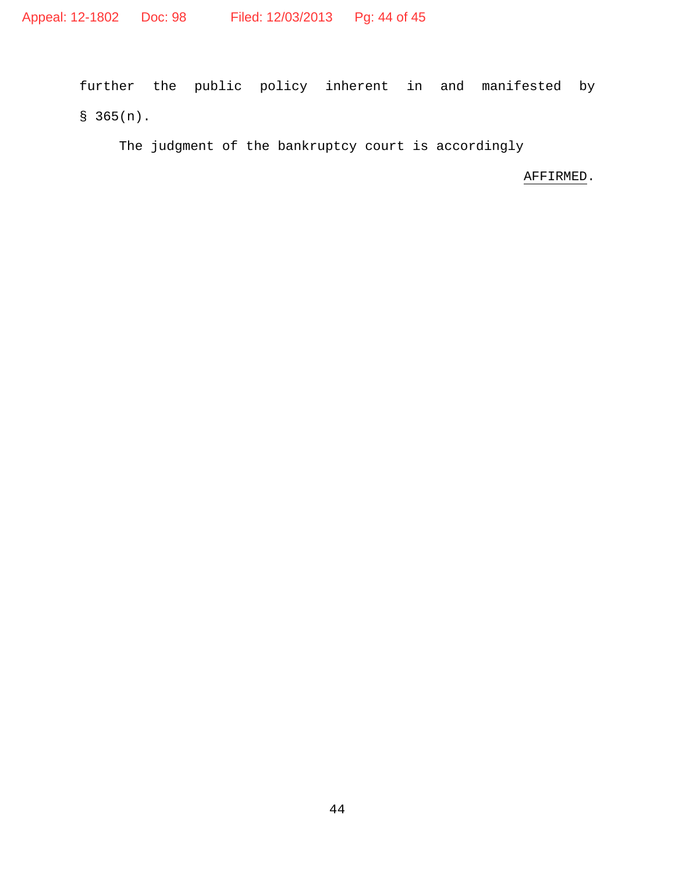further the public policy inherent in and manifested by  $$365(n).$ 

The judgment of the bankruptcy court is accordingly

AFFIRMED.